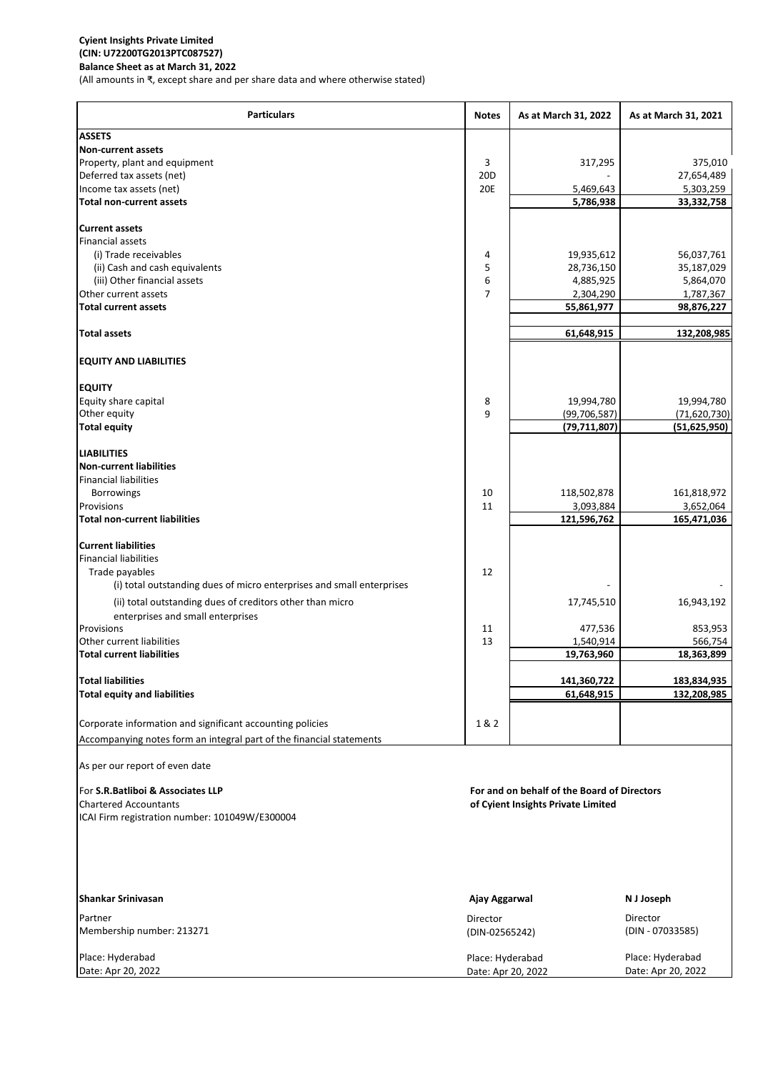## **Cyient Insights Private Limited (CIN: U72200TG2013PTC087527) Balance Sheet as at March 31, 2022**

(All amounts in ₹, except share and per share data and where otherwise stated)

| <b>Particulars</b>                                                    | <b>Notes</b>                           | As at March 31, 2022                                                              | As at March 31, 2021                   |
|-----------------------------------------------------------------------|----------------------------------------|-----------------------------------------------------------------------------------|----------------------------------------|
| <b>ASSETS</b>                                                         |                                        |                                                                                   |                                        |
| <b>Non-current assets</b>                                             |                                        |                                                                                   |                                        |
| Property, plant and equipment                                         | 3                                      | 317,295                                                                           | 375,010                                |
| Deferred tax assets (net)<br>Income tax assets (net)                  | 20 <sub>D</sub><br><b>20E</b>          | 5,469,643                                                                         | 27,654,489<br>5,303,259                |
| <b>Total non-current assets</b>                                       |                                        | 5,786,938                                                                         | 33,332,758                             |
|                                                                       |                                        |                                                                                   |                                        |
| <b>Current assets</b>                                                 |                                        |                                                                                   |                                        |
| <b>Financial assets</b>                                               |                                        |                                                                                   |                                        |
| (i) Trade receivables                                                 | 4                                      | 19,935,612                                                                        | 56,037,761                             |
| (ii) Cash and cash equivalents                                        | 5                                      | 28,736,150                                                                        | 35,187,029                             |
| (iii) Other financial assets                                          | 6                                      | 4,885,925                                                                         | 5,864,070                              |
| Other current assets                                                  | 7                                      | 2,304,290                                                                         | 1,787,367                              |
| <b>Total current assets</b>                                           |                                        | 55,861,977                                                                        | 98,876,227                             |
| <b>Total assets</b>                                                   |                                        | 61,648,915                                                                        | 132,208,985                            |
| <b>EQUITY AND LIABILITIES</b>                                         |                                        |                                                                                   |                                        |
| <b>EQUITY</b>                                                         |                                        |                                                                                   |                                        |
| Equity share capital                                                  | 8                                      | 19,994,780                                                                        | 19,994,780                             |
| Other equity                                                          | 9                                      | (99, 706, 587)                                                                    | (71,620,730)                           |
| <b>Total equity</b>                                                   |                                        | (79, 711, 807)                                                                    | (51, 625, 950)                         |
|                                                                       |                                        |                                                                                   |                                        |
| <b>LIABILITIES</b><br><b>Non-current liabilities</b>                  |                                        |                                                                                   |                                        |
| <b>Financial liabilities</b>                                          |                                        |                                                                                   |                                        |
| Borrowings                                                            | 10                                     | 118,502,878                                                                       | 161,818,972                            |
| Provisions                                                            | 11                                     | 3,093,884                                                                         | 3,652,064                              |
| <b>Total non-current liabilities</b>                                  |                                        | 121,596,762                                                                       | 165,471,036                            |
|                                                                       |                                        |                                                                                   |                                        |
| <b>Current liabilities</b>                                            |                                        |                                                                                   |                                        |
| <b>Financial liabilities</b>                                          |                                        |                                                                                   |                                        |
| Trade payables                                                        | 12                                     |                                                                                   |                                        |
| (i) total outstanding dues of micro enterprises and small enterprises |                                        |                                                                                   |                                        |
| (ii) total outstanding dues of creditors other than micro             |                                        | 17,745,510                                                                        | 16,943,192                             |
| enterprises and small enterprises                                     |                                        |                                                                                   |                                        |
| Provisions<br>Other current liabilities                               | 11<br>13                               | 477,536<br>1,540,914                                                              | 853,953<br>566,754                     |
| <b>Total current liabilities</b>                                      |                                        | 19,763,960                                                                        | 18,363,899                             |
|                                                                       |                                        |                                                                                   |                                        |
| <b>Total liabilities</b>                                              |                                        | 141,360,722                                                                       | 183,834,935                            |
| <b>Total equity and liabilities</b>                                   |                                        | 61,648,915                                                                        | 132,208,985                            |
| Corporate information and significant accounting policies             | 1&2                                    |                                                                                   |                                        |
| Accompanying notes form an integral part of the financial statements  |                                        |                                                                                   |                                        |
| As per our report of even date                                        |                                        |                                                                                   |                                        |
|                                                                       |                                        |                                                                                   |                                        |
| For S.R. Batliboi & Associates LLP<br><b>Chartered Accountants</b>    |                                        | For and on behalf of the Board of Directors<br>of Cyient Insights Private Limited |                                        |
| ICAI Firm registration number: 101049W/E300004                        |                                        |                                                                                   |                                        |
|                                                                       |                                        |                                                                                   |                                        |
| <b>Shankar Srinivasan</b>                                             | Ajay Aggarwal                          |                                                                                   | N J Joseph                             |
| Partner                                                               | Director                               |                                                                                   | Director                               |
| Membership number: 213271                                             | (DIN-02565242)                         |                                                                                   | (DIN - 07033585)                       |
| Place: Hyderabad<br>Date: Apr 20, 2022                                | Place: Hyderabad<br>Date: Apr 20, 2022 |                                                                                   | Place: Hyderabad<br>Date: Apr 20, 2022 |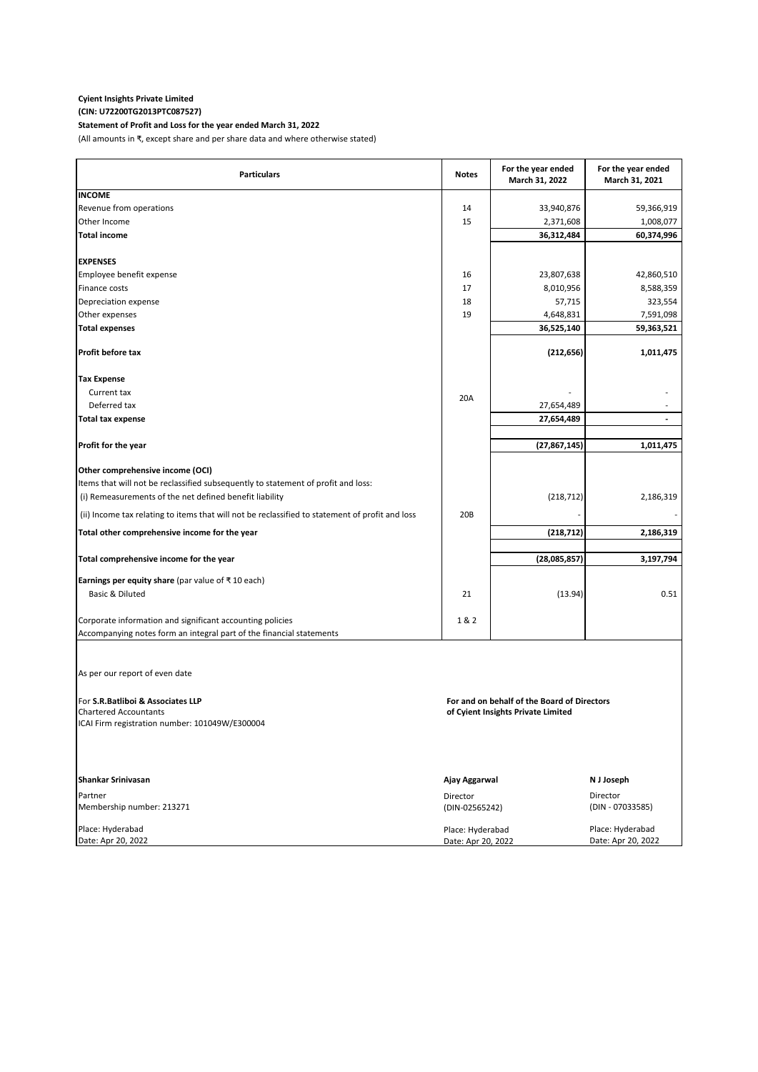## **Cyient Insights Private Limited (CIN: U72200TG2013PTC087527)**

## **Statement of Profit and Loss for the year ended March 31, 2022**

(All amounts in ₹, except share and per share data and where otherwise stated)

| <b>Particulars</b>                                                                                                                                     | <b>Notes</b>                                | For the year ended<br>March 31, 2022                                              | For the year ended<br>March 31, 2021       |
|--------------------------------------------------------------------------------------------------------------------------------------------------------|---------------------------------------------|-----------------------------------------------------------------------------------|--------------------------------------------|
| <b>INCOME</b>                                                                                                                                          |                                             |                                                                                   |                                            |
| Revenue from operations                                                                                                                                | 14                                          | 33,940,876                                                                        | 59,366,919                                 |
| Other Income                                                                                                                                           | 15                                          | 2,371,608                                                                         | 1,008,077                                  |
| <b>Total income</b>                                                                                                                                    |                                             | 36,312,484                                                                        | 60,374,996                                 |
| <b>EXPENSES</b>                                                                                                                                        |                                             |                                                                                   |                                            |
| Employee benefit expense                                                                                                                               | 16                                          | 23,807,638                                                                        | 42,860,510                                 |
| Finance costs                                                                                                                                          | 17                                          | 8,010,956                                                                         | 8,588,359                                  |
| Depreciation expense                                                                                                                                   | 18                                          | 57,715                                                                            | 323,554                                    |
| Other expenses                                                                                                                                         | 19                                          | 4,648,831                                                                         | 7,591,098                                  |
| <b>Total expenses</b>                                                                                                                                  |                                             | 36,525,140                                                                        | 59,363,521                                 |
| Profit before tax                                                                                                                                      |                                             | (212, 656)                                                                        | 1,011,475                                  |
| <b>Tax Expense</b>                                                                                                                                     |                                             |                                                                                   |                                            |
| Current tax                                                                                                                                            |                                             |                                                                                   |                                            |
| Deferred tax                                                                                                                                           | 20A                                         | 27,654,489                                                                        |                                            |
| <b>Total tax expense</b>                                                                                                                               |                                             | 27,654,489                                                                        |                                            |
|                                                                                                                                                        |                                             |                                                                                   |                                            |
| Profit for the year                                                                                                                                    |                                             | (27, 867, 145)                                                                    | 1,011,475                                  |
| Other comprehensive income (OCI)                                                                                                                       |                                             |                                                                                   |                                            |
| Items that will not be reclassified subsequently to statement of profit and loss:                                                                      |                                             |                                                                                   |                                            |
| (i) Remeasurements of the net defined benefit liability                                                                                                |                                             | (218, 712)                                                                        | 2,186,319                                  |
| (ii) Income tax relating to items that will not be reclassified to statement of profit and loss                                                        | 20 <sub>B</sub>                             |                                                                                   |                                            |
| Total other comprehensive income for the year                                                                                                          |                                             | (218, 712)                                                                        | 2,186,319                                  |
|                                                                                                                                                        |                                             |                                                                                   |                                            |
| Total comprehensive income for the year                                                                                                                |                                             | (28,085,857)                                                                      | 3,197,794                                  |
| <b>Earnings per equity share</b> (par value of ₹10 each)                                                                                               |                                             |                                                                                   |                                            |
| Basic & Diluted                                                                                                                                        | 21                                          | (13.94)                                                                           | 0.51                                       |
| Corporate information and significant accounting policies                                                                                              | 1 & 2                                       |                                                                                   |                                            |
| Accompanying notes form an integral part of the financial statements                                                                                   |                                             |                                                                                   |                                            |
| As per our report of even date<br>For S.R. Batliboi & Associates LLP<br><b>Chartered Accountants</b><br>ICAI Firm registration number: 101049W/E300004 |                                             | For and on behalf of the Board of Directors<br>of Cyient Insights Private Limited |                                            |
| Shankar Srinivasan<br>Partner<br>Membership number: 213271                                                                                             | Ajay Aggarwal<br>Director<br>(DIN-02565242) |                                                                                   | N J Joseph<br>Director<br>(DIN - 07033585) |
| Place: Hyderabad<br>Date: Apr 20, 2022                                                                                                                 | Place: Hyderabad<br>Date: Apr 20, 2022      |                                                                                   | Place: Hyderabad<br>Date: Apr 20, 2022     |
|                                                                                                                                                        |                                             |                                                                                   |                                            |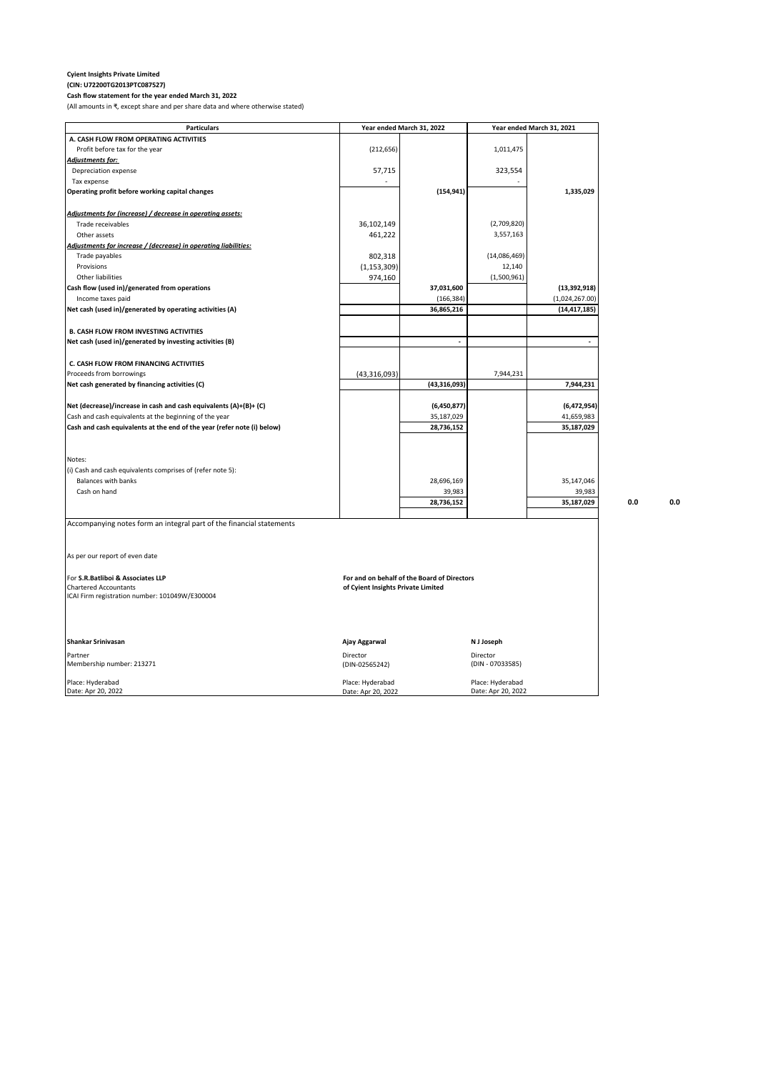#### **Cyient Insights Private Limited (CIN: U72200TG2013PTC087527)**

**Cash flow statement for the year ended March 31, 2022** (All amounts in ₹, except share and per share data and where otherwise stated)

| <b>Particulars</b>                                                      |                                    | Year ended March 31, 2022                   |                  | Year ended March 31, 2021 |     |     |
|-------------------------------------------------------------------------|------------------------------------|---------------------------------------------|------------------|---------------------------|-----|-----|
| A. CASH FLOW FROM OPERATING ACTIVITIES                                  |                                    |                                             |                  |                           |     |     |
| Profit before tax for the year                                          | (212, 656)                         |                                             | 1,011,475        |                           |     |     |
| Adjustments for:                                                        |                                    |                                             |                  |                           |     |     |
| Depreciation expense                                                    | 57,715                             |                                             | 323,554          |                           |     |     |
| Tax expense                                                             |                                    |                                             |                  |                           |     |     |
| Operating profit before working capital changes                         |                                    | (154, 941)                                  |                  | 1,335,029                 |     |     |
| Adjustments for (increase) / decrease in operating assets:              |                                    |                                             |                  |                           |     |     |
| Trade receivables                                                       | 36,102,149                         |                                             | (2,709,820)      |                           |     |     |
| Other assets                                                            | 461,222                            |                                             | 3,557,163        |                           |     |     |
| Adjustments for increase / (decrease) in operating liabilities:         |                                    |                                             |                  |                           |     |     |
| Trade payables                                                          | 802,318                            |                                             | (14,086,469)     |                           |     |     |
| Provisions                                                              | (1, 153, 309)                      |                                             | 12,140           |                           |     |     |
| Other liabilities                                                       | 974,160                            |                                             | (1,500,961)      |                           |     |     |
| Cash flow (used in)/generated from operations                           |                                    | 37,031,600                                  |                  | (13, 392, 918)            |     |     |
| Income taxes paid                                                       |                                    | (166, 384)                                  |                  | (1,024,267.00)            |     |     |
| Net cash (used in)/generated by operating activities (A)                |                                    | 36,865,216                                  |                  | (14, 417, 185)            |     |     |
|                                                                         |                                    |                                             |                  |                           |     |     |
| <b>B. CASH FLOW FROM INVESTING ACTIVITIES</b>                           |                                    |                                             |                  |                           |     |     |
| Net cash (used in)/generated by investing activities (B)                |                                    | $\overline{\phantom{a}}$                    |                  | $\overline{\phantom{a}}$  |     |     |
|                                                                         |                                    |                                             |                  |                           |     |     |
| C. CASH FLOW FROM FINANCING ACTIVITIES                                  |                                    |                                             |                  |                           |     |     |
| Proceeds from borrowings                                                | (43, 316, 093)                     |                                             | 7,944,231        |                           |     |     |
| Net cash generated by financing activities (C)                          |                                    | (43, 316, 093)                              |                  | 7,944,231                 |     |     |
|                                                                         |                                    |                                             |                  |                           |     |     |
| Net (decrease)/increase in cash and cash equivalents (A)+(B)+ (C)       |                                    | (6,450,877)                                 |                  | (6,472,954)               |     |     |
| Cash and cash equivalents at the beginning of the year                  |                                    | 35,187,029                                  |                  | 41,659,983                |     |     |
| Cash and cash equivalents at the end of the year (refer note (i) below) |                                    | 28,736,152                                  |                  | 35,187,029                |     |     |
|                                                                         |                                    |                                             |                  |                           |     |     |
| Notes:                                                                  |                                    |                                             |                  |                           |     |     |
| (i) Cash and cash equivalents comprises of (refer note 5):              |                                    |                                             |                  |                           |     |     |
| <b>Balances with banks</b>                                              |                                    | 28,696,169                                  |                  | 35,147,046                |     |     |
| Cash on hand                                                            |                                    |                                             |                  |                           |     |     |
|                                                                         |                                    | 39,983                                      |                  | 39,983<br>35,187,029      | 0.0 |     |
|                                                                         |                                    | 28,736,152                                  |                  |                           |     | 0.0 |
| Accompanying notes form an integral part of the financial statements    |                                    |                                             |                  |                           |     |     |
|                                                                         |                                    |                                             |                  |                           |     |     |
| As per our report of even date                                          |                                    |                                             |                  |                           |     |     |
|                                                                         |                                    |                                             |                  |                           |     |     |
| For S.R.Batliboi & Associates LLP<br><b>Chartered Accountants</b>       |                                    | For and on behalf of the Board of Directors |                  |                           |     |     |
| ICAI Firm registration number: 101049W/E300004                          | of Cyient Insights Private Limited |                                             |                  |                           |     |     |
|                                                                         |                                    |                                             |                  |                           |     |     |
| Shankar Srinivasan                                                      | Ajay Aggarwal                      |                                             | N J Joseph       |                           |     |     |
| Partner                                                                 | Director                           |                                             | Director         |                           |     |     |
| Membership number: 213271                                               | (DIN-02565242)                     |                                             | (DIN - 07033585) |                           |     |     |
|                                                                         |                                    |                                             |                  |                           |     |     |

Place: Hyderabad Place: Hyderabad Place: Hyderabad Date: Apr 20, 2022 Date: Apr 20, 2022 Date: Apr 20, 2022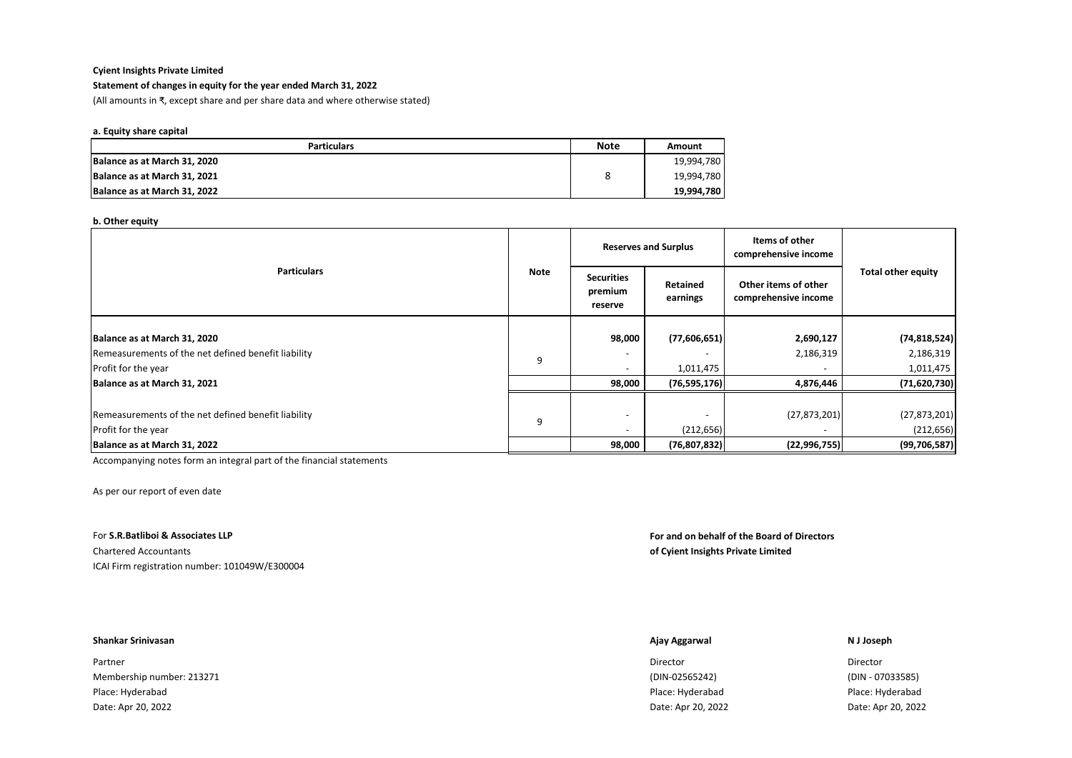## **Statement of changes in equity for the year ended March 31, 2022**

(All amounts in ₹, except share and per share data and where otherwise stated)

#### **a. Equity share capital**

| <b>Particulars</b>           | <b>Note</b> | Amount     |
|------------------------------|-------------|------------|
| Balance as at March 31, 2020 |             | 19,994,780 |
| Balance as at March 31, 2021 |             | 19,994,780 |
| Balance as at March 31, 2022 |             | 19,994,780 |

#### **b. Other equity**

|                                                     |             | <b>Reserves and Surplus</b>             |                      | Items of other<br>comprehensive income       |                           |  |
|-----------------------------------------------------|-------------|-----------------------------------------|----------------------|----------------------------------------------|---------------------------|--|
| <b>Particulars</b>                                  | <b>Note</b> | <b>Securities</b><br>premium<br>reserve | Retained<br>earnings | Other items of other<br>comprehensive income | <b>Total other equity</b> |  |
|                                                     |             |                                         |                      |                                              |                           |  |
| Balance as at March 31, 2020                        |             | 98,000                                  | (77,606,651)         | 2,690,127                                    | (74, 818, 524)            |  |
| Remeasurements of the net defined benefit liability | 9           |                                         |                      | 2,186,319                                    | 2,186,319                 |  |
| Profit for the year                                 |             | $\overline{\phantom{a}}$                | 1,011,475            | $\qquad \qquad \blacksquare$                 | 1,011,475                 |  |
| Balance as at March 31, 2021                        |             | 98,000                                  | (76, 595, 176)       | 4,876,446                                    | (71, 620, 730)            |  |
|                                                     |             |                                         |                      |                                              |                           |  |
| Remeasurements of the net defined benefit liability |             |                                         |                      | (27, 873, 201)                               | (27, 873, 201)            |  |
| Profit for the year                                 | 9           | $\overline{\phantom{a}}$                | (212, 656)           |                                              | (212, 656)                |  |
| Balance as at March 31, 2022                        |             | 98,000                                  | (76, 807, 832)       | (22, 996, 755)                               | (99, 706, 587)            |  |

Accompanying notes form an integral part of the financial statements

As per our report of even date

ICAI Firm registration number: 101049W/E300004

## For **S.R.Batliboi & Associates LLP For and on behalf of the Board of Directors** Chartered Accountants **of Cyient Insights Private Limited**

#### **Shankar Srinivasan Ajay Aggarwal N J Joseph**

Partner and the control of the control of the control of the control of the control of the control of the control of the control of the control of the control of the control of the control of the control of the control of Membership number: 213271 (DIN-02565242) (DIN - 07033585) Place: Hyderabad Place: Hyderabad Place: Hyderabad Date: Apr 20, 2022 Date: Apr 20, 2022 Date: Apr 20, 2022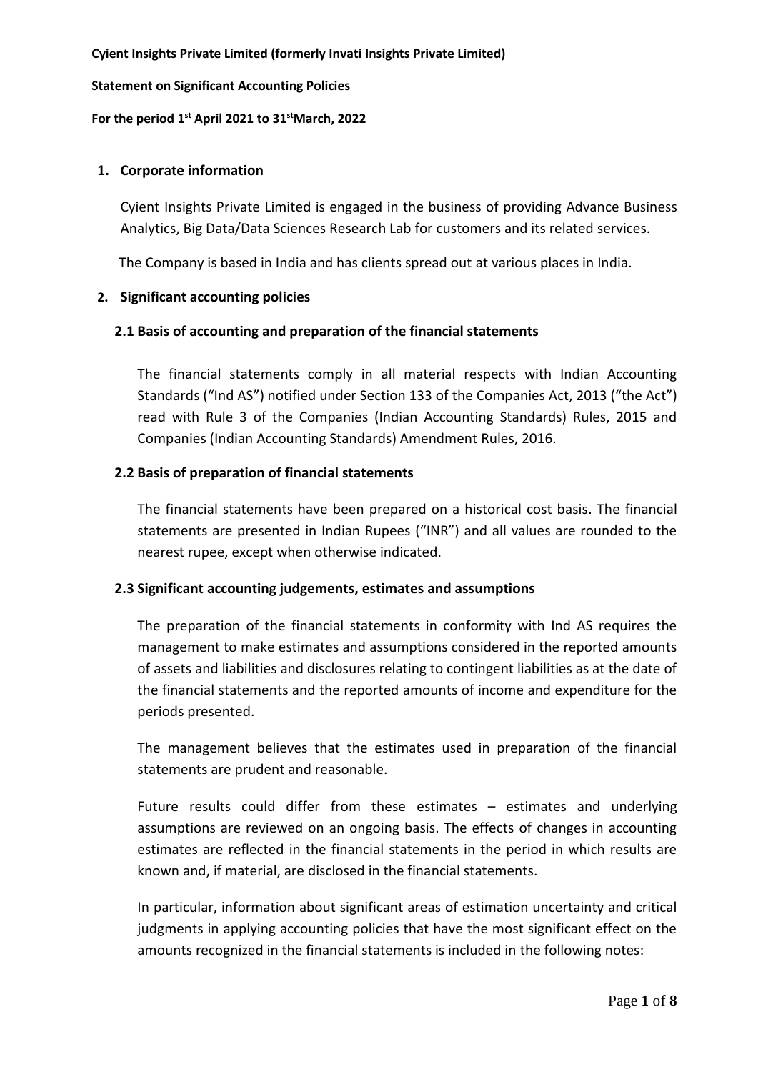# **Statement on Significant Accounting Policies**

# **For the period 1st April 2021 to 31stMarch, 2022**

# **1. Corporate information**

Cyient Insights Private Limited is engaged in the business of providing Advance Business Analytics, Big Data/Data Sciences Research Lab for customers and its related services.

The Company is based in India and has clients spread out at various places in India.

# **2. Significant accounting policies**

# **2.1 Basis of accounting and preparation of the financial statements**

The financial statements comply in all material respects with Indian Accounting Standards ("Ind AS") notified under Section 133 of the Companies Act, 2013 ("the Act") read with Rule 3 of the Companies (Indian Accounting Standards) Rules, 2015 and Companies (Indian Accounting Standards) Amendment Rules, 2016.

# **2.2 Basis of preparation of financial statements**

The financial statements have been prepared on a historical cost basis. The financial statements are presented in Indian Rupees ("INR") and all values are rounded to the nearest rupee, except when otherwise indicated.

# **2.3 Significant accounting judgements, estimates and assumptions**

The preparation of the financial statements in conformity with Ind AS requires the management to make estimates and assumptions considered in the reported amounts of assets and liabilities and disclosures relating to contingent liabilities as at the date of the financial statements and the reported amounts of income and expenditure for the periods presented.

The management believes that the estimates used in preparation of the financial statements are prudent and reasonable.

Future results could differ from these estimates – estimates and underlying assumptions are reviewed on an ongoing basis. The effects of changes in accounting estimates are reflected in the financial statements in the period in which results are known and, if material, are disclosed in the financial statements.

In particular, information about significant areas of estimation uncertainty and critical judgments in applying accounting policies that have the most significant effect on the amounts recognized in the financial statements is included in the following notes: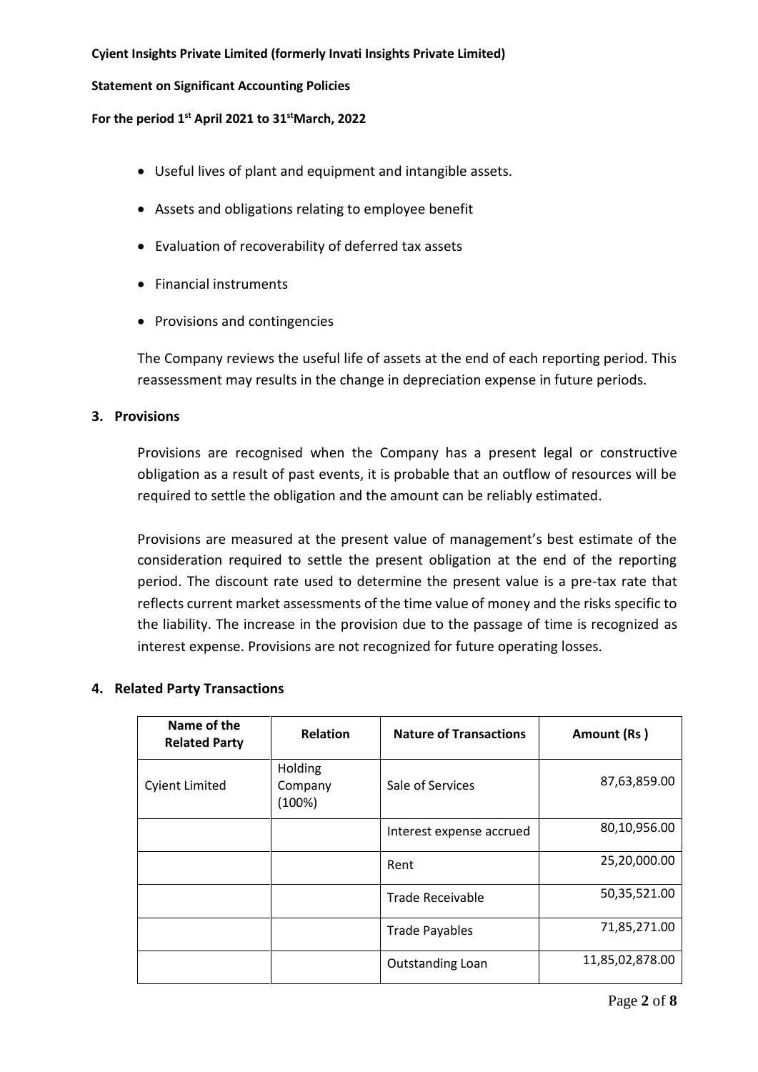# **Statement on Significant Accounting Policies**

# **For the period 1st April 2021 to 31stMarch, 2022**

- Useful lives of plant and equipment and intangible assets.
- Assets and obligations relating to employee benefit
- Evaluation of recoverability of deferred tax assets
- Financial instruments
- Provisions and contingencies

The Company reviews the useful life of assets at the end of each reporting period. This reassessment may results in the change in depreciation expense in future periods.

# **3. Provisions**

Provisions are recognised when the Company has a present legal or constructive obligation as a result of past events, it is probable that an outflow of resources will be required to settle the obligation and the amount can be reliably estimated.

Provisions are measured at the present value of management's best estimate of the consideration required to settle the present obligation at the end of the reporting period. The discount rate used to determine the present value is a pre-tax rate that reflects current market assessments of the time value of money and the risks specific to the liability. The increase in the provision due to the passage of time is recognized as interest expense. Provisions are not recognized for future operating losses.

| Name of the<br><b>Related Party</b> | <b>Relation</b>              | <b>Nature of Transactions</b> | Amount (Rs)     |
|-------------------------------------|------------------------------|-------------------------------|-----------------|
| <b>Cyient Limited</b>               | Holding<br>Company<br>(100%) | Sale of Services              | 87,63,859.00    |
|                                     |                              | Interest expense accrued      | 80,10,956.00    |
|                                     |                              | Rent                          | 25,20,000.00    |
|                                     |                              | <b>Trade Receivable</b>       | 50,35,521.00    |
|                                     |                              | <b>Trade Payables</b>         | 71,85,271.00    |
|                                     |                              | <b>Outstanding Loan</b>       | 11,85,02,878.00 |

# **4. Related Party Transactions**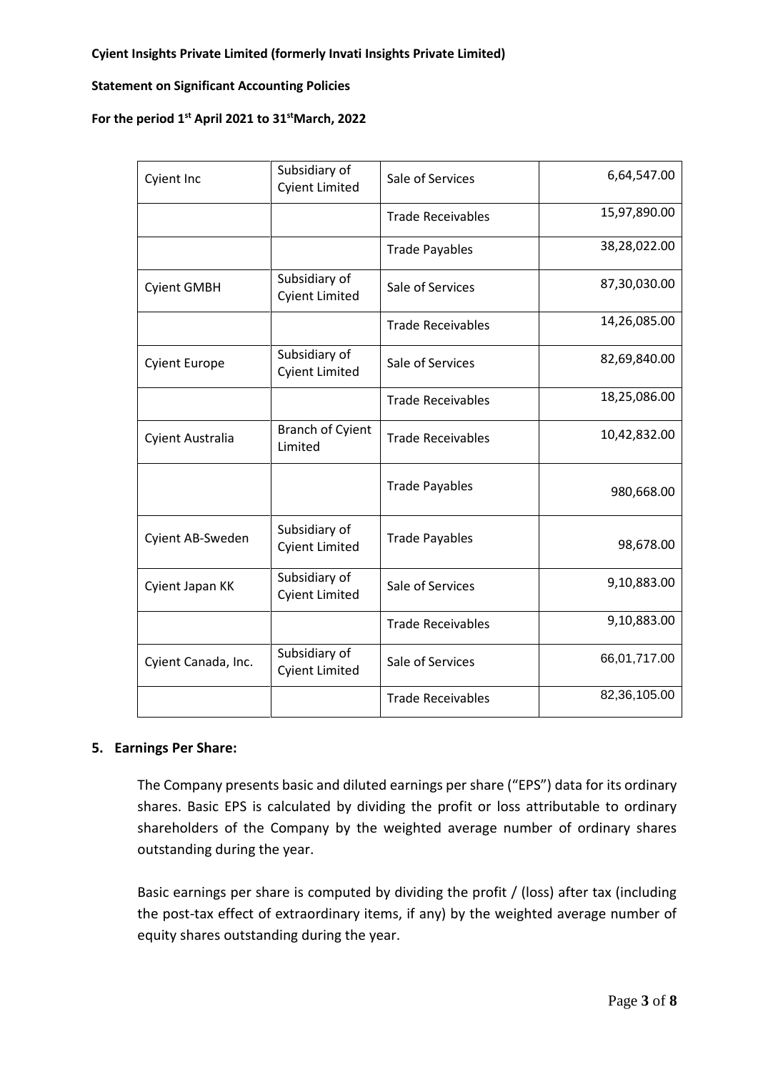# **Statement on Significant Accounting Policies**

# **For the period 1st April 2021 to 31stMarch, 2022**

| <b>Cyient Inc</b>       | Subsidiary of<br><b>Cyient Limited</b> | Sale of Services         | 6,64,547.00  |
|-------------------------|----------------------------------------|--------------------------|--------------|
|                         |                                        | <b>Trade Receivables</b> | 15,97,890.00 |
|                         |                                        | <b>Trade Payables</b>    | 38,28,022.00 |
| <b>Cyient GMBH</b>      | Subsidiary of<br><b>Cyient Limited</b> | Sale of Services         | 87,30,030.00 |
|                         |                                        | <b>Trade Receivables</b> | 14,26,085.00 |
| <b>Cyient Europe</b>    | Subsidiary of<br><b>Cyient Limited</b> | Sale of Services         | 82,69,840.00 |
|                         |                                        | <b>Trade Receivables</b> | 18,25,086.00 |
| <b>Cyient Australia</b> | <b>Branch of Cyient</b><br>Limited     | <b>Trade Receivables</b> | 10,42,832.00 |
|                         |                                        | <b>Trade Payables</b>    | 980,668.00   |
| Cyient AB-Sweden        | Subsidiary of<br><b>Cyient Limited</b> | <b>Trade Payables</b>    | 98,678.00    |
| Cyient Japan KK         | Subsidiary of<br><b>Cyient Limited</b> | Sale of Services         | 9,10,883.00  |
|                         |                                        | <b>Trade Receivables</b> | 9,10,883.00  |
| Cyient Canada, Inc.     | Subsidiary of<br><b>Cyient Limited</b> | Sale of Services         | 66,01,717.00 |
|                         |                                        | <b>Trade Receivables</b> | 82,36,105.00 |

# **5. Earnings Per Share:**

The Company presents basic and diluted earnings per share ("EPS") data for its ordinary shares. Basic EPS is calculated by dividing the profit or loss attributable to ordinary shareholders of the Company by the weighted average number of ordinary shares outstanding during the year.

Basic earnings per share is computed by dividing the profit / (loss) after tax (including the post-tax effect of extraordinary items, if any) by the weighted average number of equity shares outstanding during the year.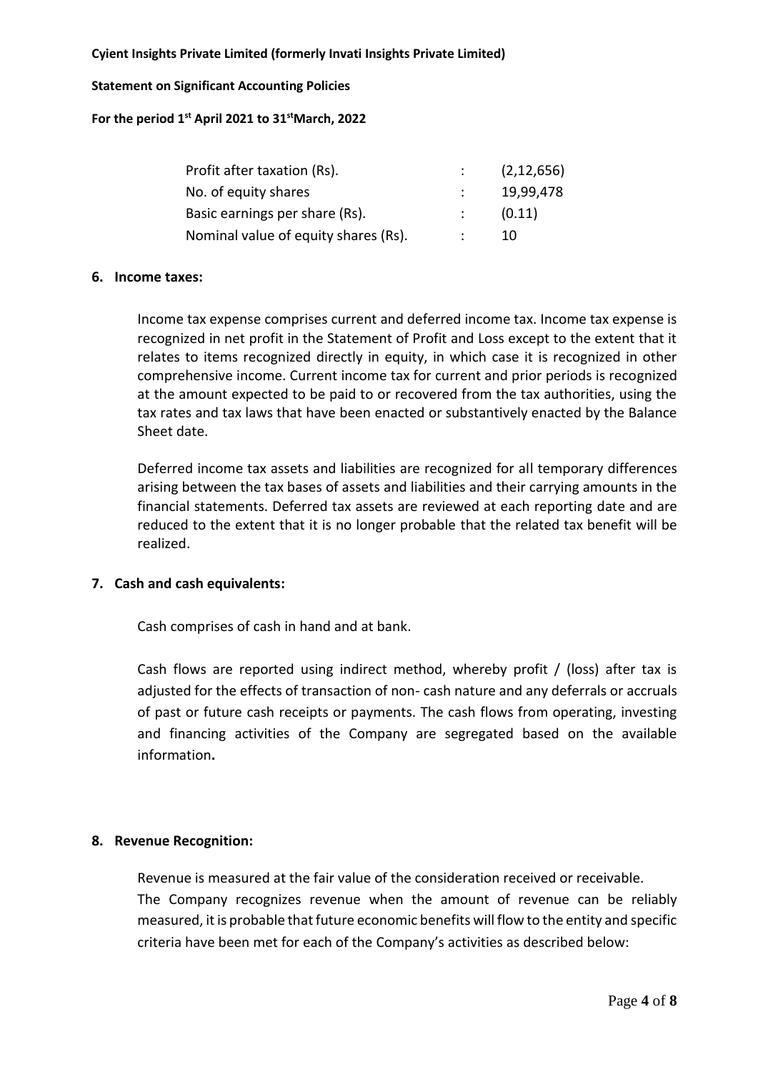# **Statement on Significant Accounting Policies**

**For the period 1st April 2021 to 31stMarch, 2022**

| Profit after taxation (Rs).          | (2, 12, 656) |
|--------------------------------------|--------------|
| No. of equity shares                 | 19,99,478    |
| Basic earnings per share (Rs).       | (0.11)       |
| Nominal value of equity shares (Rs). | 10           |

# **6. Income taxes:**

Income tax expense comprises current and deferred income tax. Income tax expense is recognized in net profit in the Statement of Profit and Loss except to the extent that it relates to items recognized directly in equity, in which case it is recognized in other comprehensive income. Current income tax for current and prior periods is recognized at the amount expected to be paid to or recovered from the tax authorities, using the tax rates and tax laws that have been enacted or substantively enacted by the Balance Sheet date.

Deferred income tax assets and liabilities are recognized for all temporary differences arising between the tax bases of assets and liabilities and their carrying amounts in the financial statements. Deferred tax assets are reviewed at each reporting date and are reduced to the extent that it is no longer probable that the related tax benefit will be realized.

# **7. Cash and cash equivalents:**

Cash comprises of cash in hand and at bank.

Cash flows are reported using indirect method, whereby profit / (loss) after tax is adjusted for the effects of transaction of non- cash nature and any deferrals or accruals of past or future cash receipts or payments. The cash flows from operating, investing and financing activities of the Company are segregated based on the available information**.**

# **8. Revenue Recognition:**

Revenue is measured at the fair value of the consideration received or receivable. The Company recognizes revenue when the amount of revenue can be reliably measured, it is probable that future economic benefits will flow to the entity and specific criteria have been met for each of the Company's activities as described below: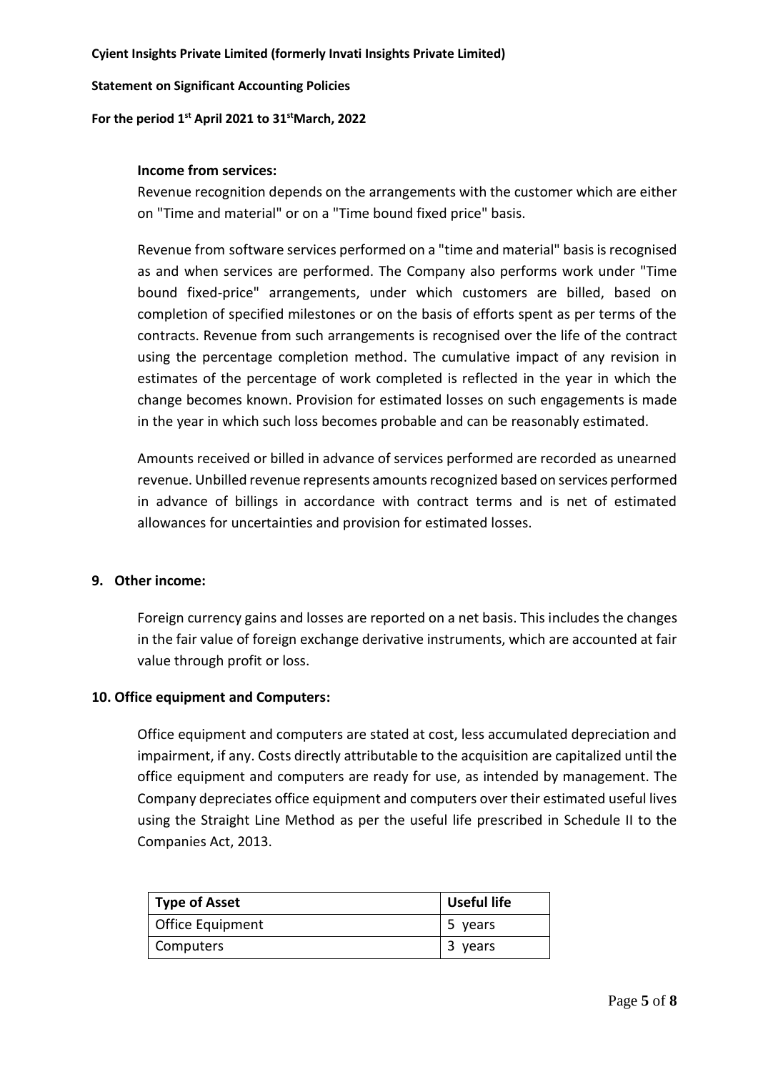# **Statement on Significant Accounting Policies**

# **For the period 1st April 2021 to 31stMarch, 2022**

# **Income from services:**

Revenue recognition depends on the arrangements with the customer which are either on "Time and material" or on a "Time bound fixed price" basis.

Revenue from software services performed on a "time and material" basis is recognised as and when services are performed. The Company also performs work under "Time bound fixed-price" arrangements, under which customers are billed, based on completion of specified milestones or on the basis of efforts spent as per terms of the contracts. Revenue from such arrangements is recognised over the life of the contract using the percentage completion method. The cumulative impact of any revision in estimates of the percentage of work completed is reflected in the year in which the change becomes known. Provision for estimated losses on such engagements is made in the year in which such loss becomes probable and can be reasonably estimated.

Amounts received or billed in advance of services performed are recorded as unearned revenue. Unbilled revenue represents amounts recognized based on services performed in advance of billings in accordance with contract terms and is net of estimated allowances for uncertainties and provision for estimated losses.

# **9. Other income:**

Foreign currency gains and losses are reported on a net basis. This includes the changes in the fair value of foreign exchange derivative instruments, which are accounted at fair value through profit or loss.

# **10. Office equipment and Computers:**

Office equipment and computers are stated at cost, less accumulated depreciation and impairment, if any. Costs directly attributable to the acquisition are capitalized until the office equipment and computers are ready for use, as intended by management. The Company depreciates office equipment and computers over their estimated useful lives using the Straight Line Method as per the useful life prescribed in Schedule II to the Companies Act, 2013.

| Type of Asset    | <b>Useful life</b> |
|------------------|--------------------|
| Office Equipment | 5 years            |
| Computers        | 3 years            |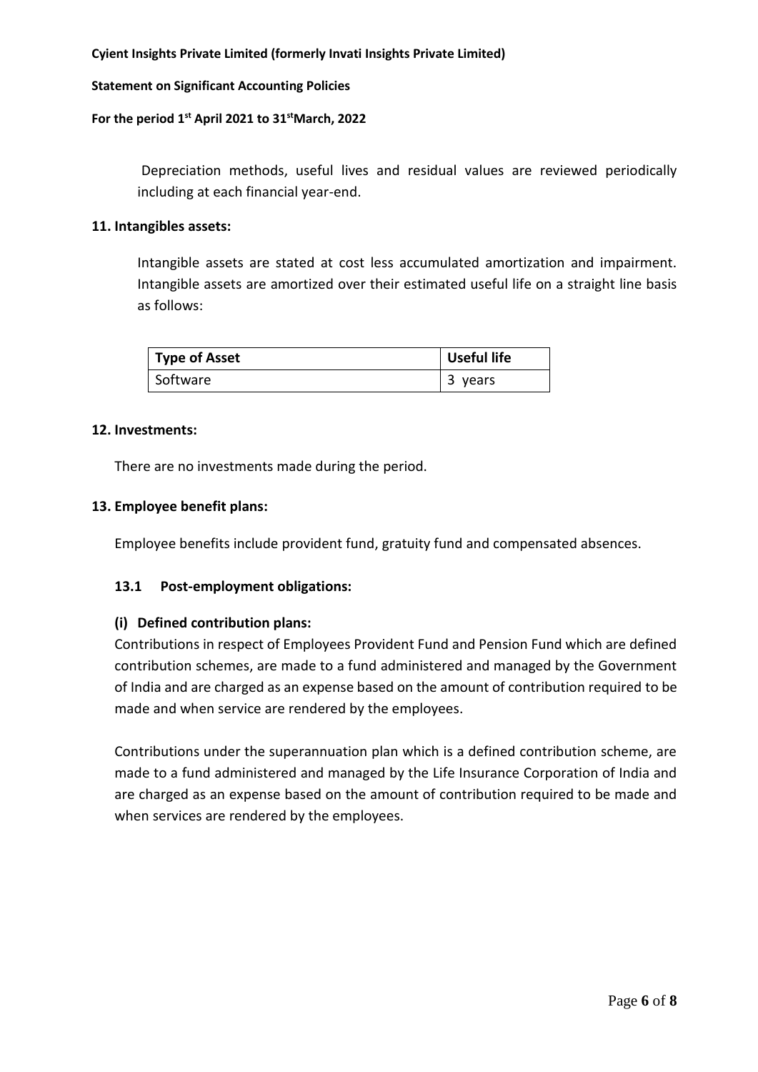# **Statement on Significant Accounting Policies**

# **For the period 1st April 2021 to 31stMarch, 2022**

Depreciation methods, useful lives and residual values are reviewed periodically including at each financial year-end.

# **11. Intangibles assets:**

Intangible assets are stated at cost less accumulated amortization and impairment. Intangible assets are amortized over their estimated useful life on a straight line basis as follows:

| <b>Type of Asset</b> | Useful life |
|----------------------|-------------|
| Software             | 3<br>years  |

# **12. Investments:**

There are no investments made during the period.

# **13. Employee benefit plans:**

Employee benefits include provident fund, gratuity fund and compensated absences.

# **13.1 Post-employment obligations:**

# **(i) Defined contribution plans:**

Contributions in respect of Employees Provident Fund and Pension Fund which are defined contribution schemes, are made to a fund administered and managed by the Government of India and are charged as an expense based on the amount of contribution required to be made and when service are rendered by the employees.

Contributions under the superannuation plan which is a defined contribution scheme, are made to a fund administered and managed by the Life Insurance Corporation of India and are charged as an expense based on the amount of contribution required to be made and when services are rendered by the employees.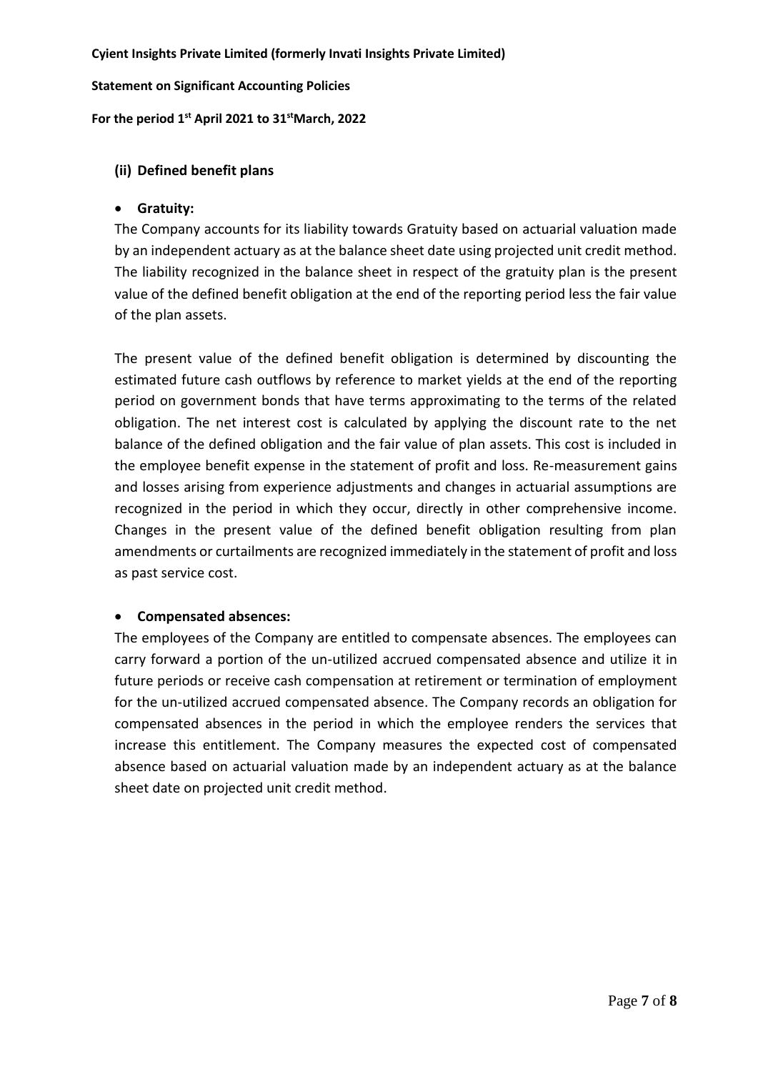**Statement on Significant Accounting Policies**

**For the period 1st April 2021 to 31stMarch, 2022**

# **(ii) Defined benefit plans**

# **Gratuity:**

The Company accounts for its liability towards Gratuity based on actuarial valuation made by an independent actuary as at the balance sheet date using projected unit credit method. The liability recognized in the balance sheet in respect of the gratuity plan is the present value of the defined benefit obligation at the end of the reporting period less the fair value of the plan assets.

The present value of the defined benefit obligation is determined by discounting the estimated future cash outflows by reference to market yields at the end of the reporting period on government bonds that have terms approximating to the terms of the related obligation. The net interest cost is calculated by applying the discount rate to the net balance of the defined obligation and the fair value of plan assets. This cost is included in the employee benefit expense in the statement of profit and loss. Re-measurement gains and losses arising from experience adjustments and changes in actuarial assumptions are recognized in the period in which they occur, directly in other comprehensive income. Changes in the present value of the defined benefit obligation resulting from plan amendments or curtailments are recognized immediately in the statement of profit and loss as past service cost.

# **Compensated absences:**

The employees of the Company are entitled to compensate absences. The employees can carry forward a portion of the un-utilized accrued compensated absence and utilize it in future periods or receive cash compensation at retirement or termination of employment for the un-utilized accrued compensated absence. The Company records an obligation for compensated absences in the period in which the employee renders the services that increase this entitlement. The Company measures the expected cost of compensated absence based on actuarial valuation made by an independent actuary as at the balance sheet date on projected unit credit method.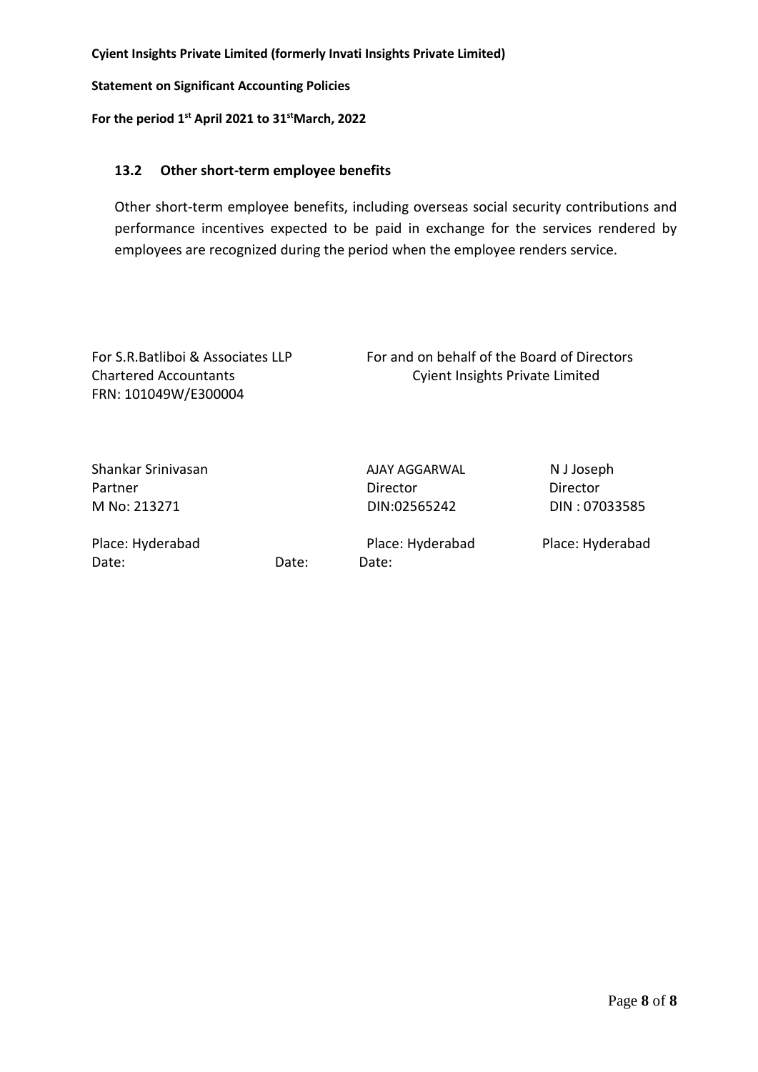**Statement on Significant Accounting Policies**

**For the period 1st April 2021 to 31stMarch, 2022**

# **13.2 Other short-term employee benefits**

Other short-term employee benefits, including overseas social security contributions and performance incentives expected to be paid in exchange for the services rendered by employees are recognized during the period when the employee renders service.

| For S.R. Batliboi & Associates LLP<br><b>Chartered Accountants</b><br>FRN: 101049W/E300004 |       | For and on behalf of the Board of Directors<br><b>Cyient Insights Private Limited</b> |                        |
|--------------------------------------------------------------------------------------------|-------|---------------------------------------------------------------------------------------|------------------------|
| Shankar Srinivasan<br>Partner                                                              |       | AJAY AGGARWAL<br>Director                                                             | N J Joseph<br>Director |
| M No: 213271                                                                               |       | DIN:02565242                                                                          | DIN: 07033585          |
| Place: Hyderabad<br>Date:                                                                  | Date: | Place: Hyderabad<br>Date:                                                             | Place: Hyderabad       |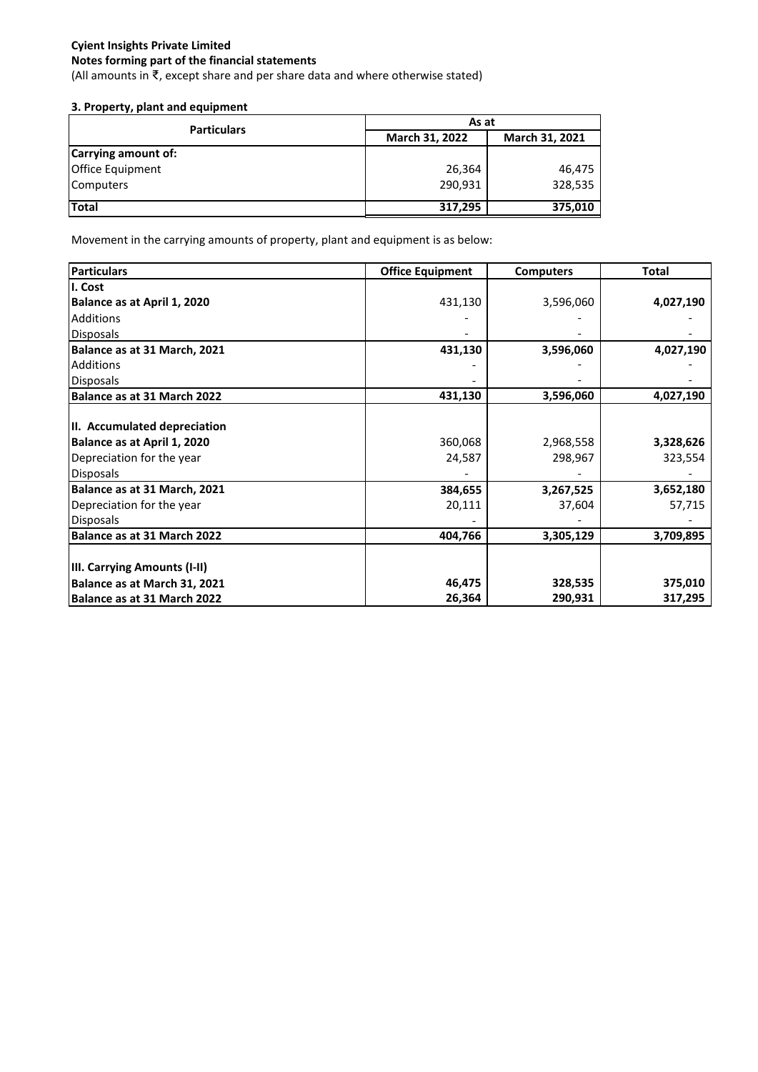(All amounts in ₹, except share and per share data and where otherwise stated)

# **3. Property, plant and equipment**

| <b>Particulars</b>      | As at          |                |  |
|-------------------------|----------------|----------------|--|
|                         | March 31, 2022 | March 31, 2021 |  |
| Carrying amount of:     |                |                |  |
| <b>Office Equipment</b> | 26,364         | 46,475         |  |
| <b>Computers</b>        | 290,931        | 328,535        |  |
| Total                   | 317,295        | 375,010        |  |

Movement in the carrying amounts of property, plant and equipment is as below:

| <b>Particulars</b>           | <b>Office Equipment</b> | <b>Computers</b> | Total     |
|------------------------------|-------------------------|------------------|-----------|
| I. Cost                      |                         |                  |           |
| Balance as at April 1, 2020  | 431,130                 | 3,596,060        | 4,027,190 |
| <b>Additions</b>             |                         |                  |           |
| <b>Disposals</b>             |                         |                  |           |
| Balance as at 31 March, 2021 | 431,130                 | 3,596,060        | 4,027,190 |
| <b>Additions</b>             |                         |                  |           |
| <b>Disposals</b>             |                         |                  |           |
| Balance as at 31 March 2022  | 431,130                 | 3,596,060        | 4,027,190 |
|                              |                         |                  |           |
| II. Accumulated depreciation |                         |                  |           |
| Balance as at April 1, 2020  | 360,068                 | 2,968,558        | 3,328,626 |
| Depreciation for the year    | 24,587                  | 298,967          | 323,554   |
| <b>Disposals</b>             |                         |                  |           |
| Balance as at 31 March, 2021 | 384,655                 | 3,267,525        | 3,652,180 |
| Depreciation for the year    | 20,111                  | 37,604           | 57,715    |
| <b>Disposals</b>             |                         |                  |           |
| Balance as at 31 March 2022  | 404,766                 | 3,305,129        | 3,709,895 |
|                              |                         |                  |           |
| III. Carrying Amounts (I-II) |                         |                  |           |
| Balance as at March 31, 2021 | 46,475                  | 328,535          | 375,010   |
| Balance as at 31 March 2022  | 26,364                  | 290,931          | 317,295   |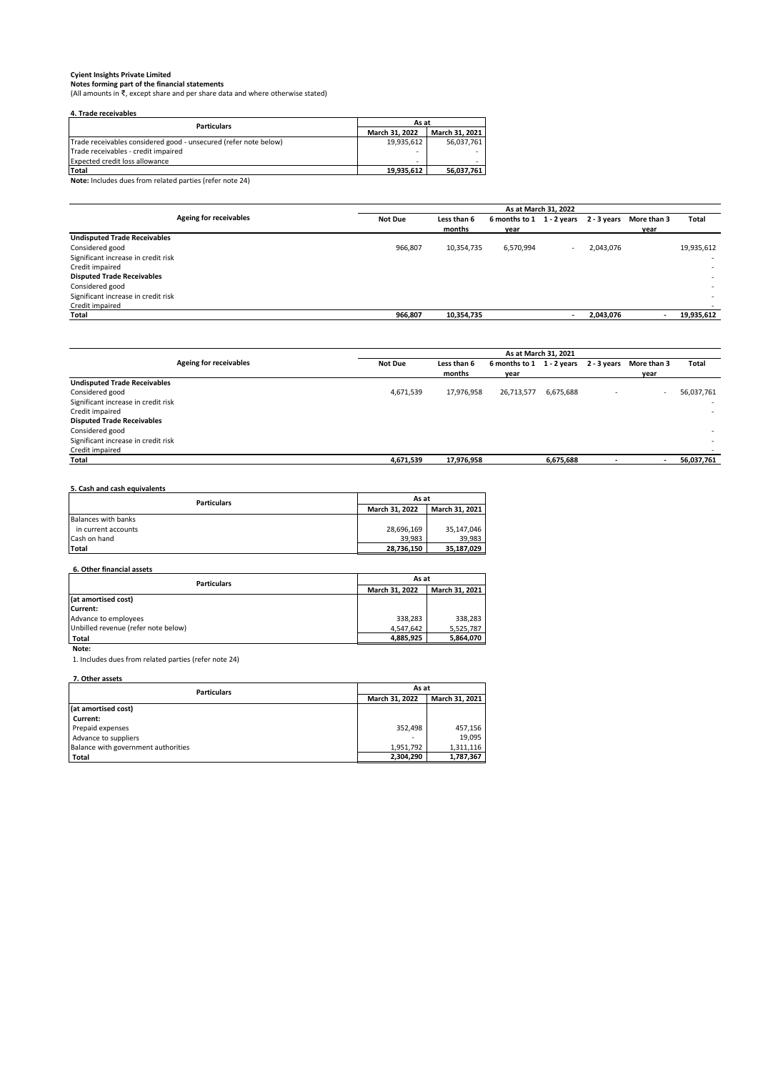C**yient Insights Private Limited**<br>Notes forming part of the financial statements<br>(All amounts in ₹, except share and per share data and where otherwise stated)

| 4. Trade receivables<br>As at                                    |                |                |  |  |  |
|------------------------------------------------------------------|----------------|----------------|--|--|--|
| <b>Particulars</b>                                               | March 31, 2022 | March 31, 2021 |  |  |  |
| Trade receivables considered good - unsecured (refer note below) | 19.935.612     | 56.037.761     |  |  |  |
| Trade receivables - credit impaired                              | -              |                |  |  |  |
| <b>Expected credit loss allowance</b>                            |                |                |  |  |  |
| Total                                                            | 19,935,612     | 56,037,761     |  |  |  |

**Note:** Includes dues from related parties (refer note 24)

|                                     |                | As at March 31, 2022 |                                                 |  |           |             |                          |
|-------------------------------------|----------------|----------------------|-------------------------------------------------|--|-----------|-------------|--------------------------|
| Ageing for receivables              | <b>Not Due</b> | Less than 6          | 6 months to $1 \quad 1 - 2$ years $2 - 3$ years |  |           | More than 3 | Total                    |
|                                     |                | months               | year                                            |  |           | year        |                          |
| <b>Undisputed Trade Receivables</b> |                |                      |                                                 |  |           |             |                          |
| Considered good                     | 966,807        | 10,354,735           | 6,570,994                                       |  | 2.043.076 |             | 19,935,612               |
| Significant increase in credit risk |                |                      |                                                 |  |           |             | $\overline{\phantom{a}}$ |
| Credit impaired                     |                |                      |                                                 |  |           |             | $\overline{\phantom{a}}$ |
| <b>Disputed Trade Receivables</b>   |                |                      |                                                 |  |           |             | $\overline{\phantom{a}}$ |
| Considered good                     |                |                      |                                                 |  |           |             | $\overline{\phantom{a}}$ |
| Significant increase in credit risk |                |                      |                                                 |  |           |             | ۰                        |
| Credit impaired                     |                |                      |                                                 |  |           |             |                          |
| Total                               | 966,807        | 10,354,735           |                                                 |  | 2,043,076 |             | 19,935,612               |

|                                     |                | As at March 31, 2021 |                                                   |           |  |                          |                          |
|-------------------------------------|----------------|----------------------|---------------------------------------------------|-----------|--|--------------------------|--------------------------|
| Ageing for receivables              | <b>Not Due</b> | Less than 6          | 6 months to 1 1 - 2 years 2 - 3 years More than 3 |           |  |                          | <b>Total</b>             |
|                                     |                | months               | year                                              |           |  | year                     |                          |
| <b>Undisputed Trade Receivables</b> |                |                      |                                                   |           |  |                          |                          |
| Considered good                     | 4,671,539      | 17,976,958           | 26,713,577                                        | 6,675,688 |  | $\overline{\phantom{a}}$ | 56,037,761               |
| Significant increase in credit risk |                |                      |                                                   |           |  |                          | $\overline{\phantom{a}}$ |
| Credit impaired                     |                |                      |                                                   |           |  |                          | $\overline{\phantom{a}}$ |
| <b>Disputed Trade Receivables</b>   |                |                      |                                                   |           |  |                          |                          |
| Considered good                     |                |                      |                                                   |           |  |                          | $\overline{\phantom{a}}$ |
| Significant increase in credit risk |                |                      |                                                   |           |  |                          |                          |
| Credit impaired                     |                |                      |                                                   |           |  |                          |                          |
| Total                               | 4,671,539      | 17,976,958           |                                                   | 6,675,688 |  | $\overline{\phantom{a}}$ | 56,037,761               |
|                                     |                |                      |                                                   |           |  |                          |                          |

## **5. Cash and cash equivalents**

| <b>Particulars</b>  | As at          |                |  |
|---------------------|----------------|----------------|--|
|                     | March 31, 2022 | March 31, 2021 |  |
| Balances with banks |                |                |  |
| in current accounts | 28,696,169     | 35.147.046     |  |
| Cash on hand        | 39.983         | 39.983         |  |
| Total               | 28.736.150     | 35.187.029     |  |

## **6. Other financial assets**

| <b>Particulars</b>                  | As at          |                |  |
|-------------------------------------|----------------|----------------|--|
|                                     | March 31, 2022 | March 31, 2021 |  |
| (at amortised cost)                 |                |                |  |
| Current:                            |                |                |  |
| Advance to employees                | 338.283        | 338.283        |  |
| Unbilled revenue (refer note below) | 4.547.642      | 5.525.787      |  |
| Total                               | 4,885,925      | 5.864.070      |  |

 **Note:** 

1. Includes dues from related parties (refer note 24)

## **7. Other assets**

| <b>Particulars</b>                  | As at                    |                |  |
|-------------------------------------|--------------------------|----------------|--|
|                                     | March 31, 2022           | March 31, 2021 |  |
| (at amortised cost)                 |                          |                |  |
| Current:                            |                          |                |  |
| Prepaid expenses                    | 352,498                  | 457.156        |  |
| Advance to suppliers                | $\overline{\phantom{a}}$ | 19.095         |  |
| Balance with government authorities | 1.951.792                | 1.311.116      |  |
| Total                               | 2,304,290                | 1,787,367      |  |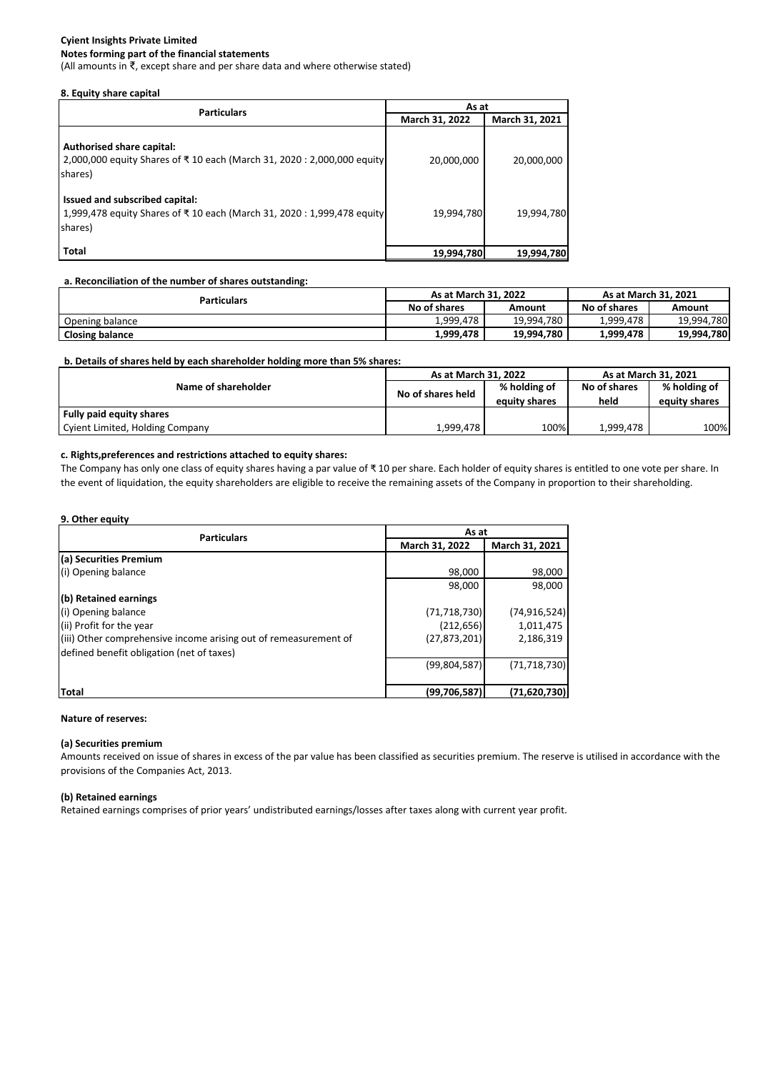## **Notes forming part of the financial statements**

(All amounts in ₹, except share and per share data and where otherwise stated)

## **8. Equity share capital**

| <b>Particulars</b>                                                                                                  | As at          |                |  |  |
|---------------------------------------------------------------------------------------------------------------------|----------------|----------------|--|--|
|                                                                                                                     | March 31, 2022 | March 31, 2021 |  |  |
| Authorised share capital:<br>2,000,000 equity Shares of ₹10 each (March 31, 2020 : 2,000,000 equity<br>shares)      | 20,000,000     | 20,000,000     |  |  |
| Issued and subscribed capital:<br>1,999,478 equity Shares of ₹10 each (March 31, 2020 : 1,999,478 equity<br>shares) | 19,994,780     | 19,994,780     |  |  |
| <b>Total</b>                                                                                                        | 19,994,780     | 19,994,780     |  |  |

### **a. Reconciliation of the number of shares outstanding:**

| <b>Particulars</b>     | As at March 31, 2022 |            | As at March 31, 2021 |            |
|------------------------|----------------------|------------|----------------------|------------|
|                        | No of shares         | Amount     | No of shares         | Amount     |
| Opening balance        | 1.999.478            | 19,994,780 | 1.999.478            | 19,994,780 |
| <b>Closing balance</b> | 1,999,478            | 19,994,780 | 1,999,478            | 19,994,780 |

## **b. Details of shares held by each shareholder holding more than 5% shares:**

|                                 | As at March 31, 2022 |               | As at March 31, 2021 |               |  |
|---------------------------------|----------------------|---------------|----------------------|---------------|--|
| Name of shareholder             | No of shares held    |               | No of shares         | % holding of  |  |
|                                 |                      | equity shares | held                 | equity shares |  |
| Fully paid equity shares        |                      |               |                      |               |  |
| Cyient Limited, Holding Company | 1,999,478            | 100%          | 1.999.478            | 100%          |  |

## **c. Rights,preferences and restrictions attached to equity shares:**

The Company has only one class of equity shares having a par value of ₹ 10 per share. Each holder of equity shares is entitled to one vote per share. In the event of liquidation, the equity shareholders are eligible to receive the remaining assets of the Company in proportion to their shareholding.

## **9. Other equity**

| <b>Particulars</b>                                               | As at          |                |  |  |
|------------------------------------------------------------------|----------------|----------------|--|--|
|                                                                  | March 31, 2022 | March 31, 2021 |  |  |
| (a) Securities Premium                                           |                |                |  |  |
| (i) Opening balance                                              | 98,000         | 98,000         |  |  |
|                                                                  | 98,000         | 98,000         |  |  |
| (b) Retained earnings                                            |                |                |  |  |
| (i) Opening balance                                              | (71, 718, 730) | (74, 916, 524) |  |  |
| (ii) Profit for the year                                         | (212, 656)     | 1,011,475      |  |  |
| (iii) Other comprehensive income arising out of remeasurement of | (27, 873, 201) | 2,186,319      |  |  |
| defined benefit obligation (net of taxes)                        |                |                |  |  |
|                                                                  | (99,804,587)   | (71, 718, 730) |  |  |
|                                                                  |                |                |  |  |
| Total                                                            | (99,706,587)   | (71, 620, 730) |  |  |

## **Nature of reserves:**

## **(a) Securities premium**

Amounts received on issue of shares in excess of the par value has been classified as securities premium. The reserve is utilised in accordance with the provisions of the Companies Act, 2013.

### **(b) Retained earnings**

Retained earnings comprises of prior years' undistributed earnings/losses after taxes along with current year profit.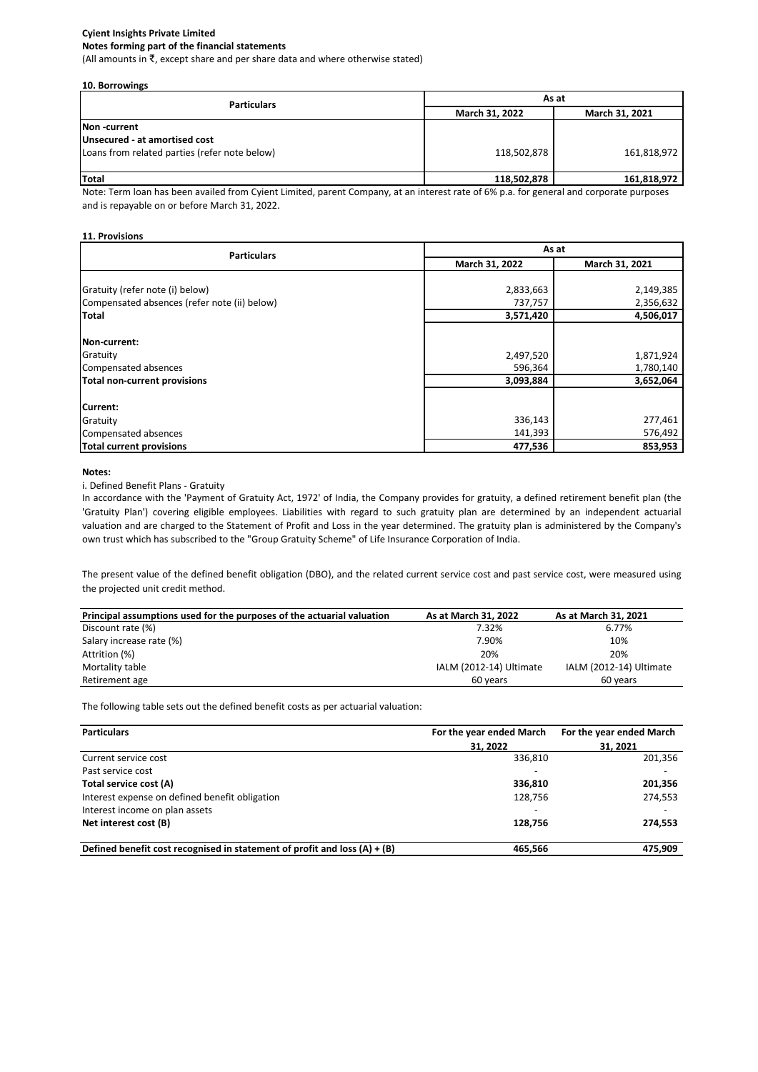#### **Notes forming part of the financial statements**

(All amounts in ₹, except share and per share data and where otherwise stated)

#### **10. Borrowings**

| <b>Particulars</b>                            | As at          |                |  |
|-----------------------------------------------|----------------|----------------|--|
|                                               | March 31, 2022 | March 31, 2021 |  |
| Non-current                                   |                |                |  |
| Unsecured - at amortised cost                 |                |                |  |
| Loans from related parties (refer note below) | 118,502,878    | 161,818,972    |  |
|                                               |                |                |  |
| Total                                         | 118,502,878    | 161,818,972    |  |

Note: Term loan has been availed from Cyient Limited, parent Company, at an interest rate of 6% p.a. for general and corporate purposes and is repayable on or before March 31, 2022.

### **11. Provisions**

| <b>Particulars</b>                           | As at          |                |  |  |
|----------------------------------------------|----------------|----------------|--|--|
|                                              | March 31, 2022 | March 31, 2021 |  |  |
|                                              |                |                |  |  |
| Gratuity (refer note (i) below)              | 2,833,663      | 2,149,385      |  |  |
| Compensated absences (refer note (ii) below) | 737,757        | 2,356,632      |  |  |
| <b>Total</b>                                 | 3,571,420      | 4,506,017      |  |  |
|                                              |                |                |  |  |
| Non-current:                                 |                |                |  |  |
| Gratuity                                     | 2,497,520      | 1,871,924      |  |  |
| Compensated absences                         | 596,364        | 1,780,140      |  |  |
| Total non-current provisions                 | 3,093,884      | 3,652,064      |  |  |
|                                              |                |                |  |  |
| Current:                                     |                |                |  |  |
| Gratuity                                     | 336,143        | 277,461        |  |  |
| Compensated absences                         | 141,393        | 576,492        |  |  |
| <b>Total current provisions</b>              | 477,536        | 853,953        |  |  |

#### **Notes:**

#### i. Defined Benefit Plans - Gratuity

In accordance with the 'Payment of Gratuity Act, 1972' of India, the Company provides for gratuity, a defined retirement benefit plan (the 'Gratuity Plan') covering eligible employees. Liabilities with regard to such gratuity plan are determined by an independent actuarial valuation and are charged to the Statement of Profit and Loss in the year determined. The gratuity plan is administered by the Company's own trust which has subscribed to the "Group Gratuity Scheme" of Life Insurance Corporation of India.

The present value of the defined benefit obligation (DBO), and the related current service cost and past service cost, were measured using the projected unit credit method.

| Principal assumptions used for the purposes of the actuarial valuation | As at March 31, 2022    | As at March 31, 2021    |
|------------------------------------------------------------------------|-------------------------|-------------------------|
| Discount rate (%)                                                      | 7.32%                   | 6.77%                   |
| Salary increase rate (%)                                               | 7.90%                   | 10%                     |
| Attrition (%)                                                          | 20%                     | 20%                     |
| Mortality table                                                        | IALM (2012-14) Ultimate | IALM (2012-14) Ultimate |
| Retirement age                                                         | 60 years                | 60 years                |

The following table sets out the defined benefit costs as per actuarial valuation:

| <b>Particulars</b>                                                          | For the year ended March | For the year ended March |  |
|-----------------------------------------------------------------------------|--------------------------|--------------------------|--|
|                                                                             | 31, 2022                 | 31.2021                  |  |
| Current service cost                                                        | 336,810                  | 201,356                  |  |
| Past service cost                                                           | $\overline{\phantom{a}}$ | -                        |  |
| Total service cost (A)                                                      | 336.810                  | 201,356                  |  |
| Interest expense on defined benefit obligation                              | 128.756                  | 274,553                  |  |
| Interest income on plan assets                                              | $\overline{\phantom{a}}$ |                          |  |
| Net interest cost (B)                                                       | 128,756                  | 274,553                  |  |
| Defined benefit cost recognised in statement of profit and loss $(A) + (B)$ | 465.566                  | 475.909                  |  |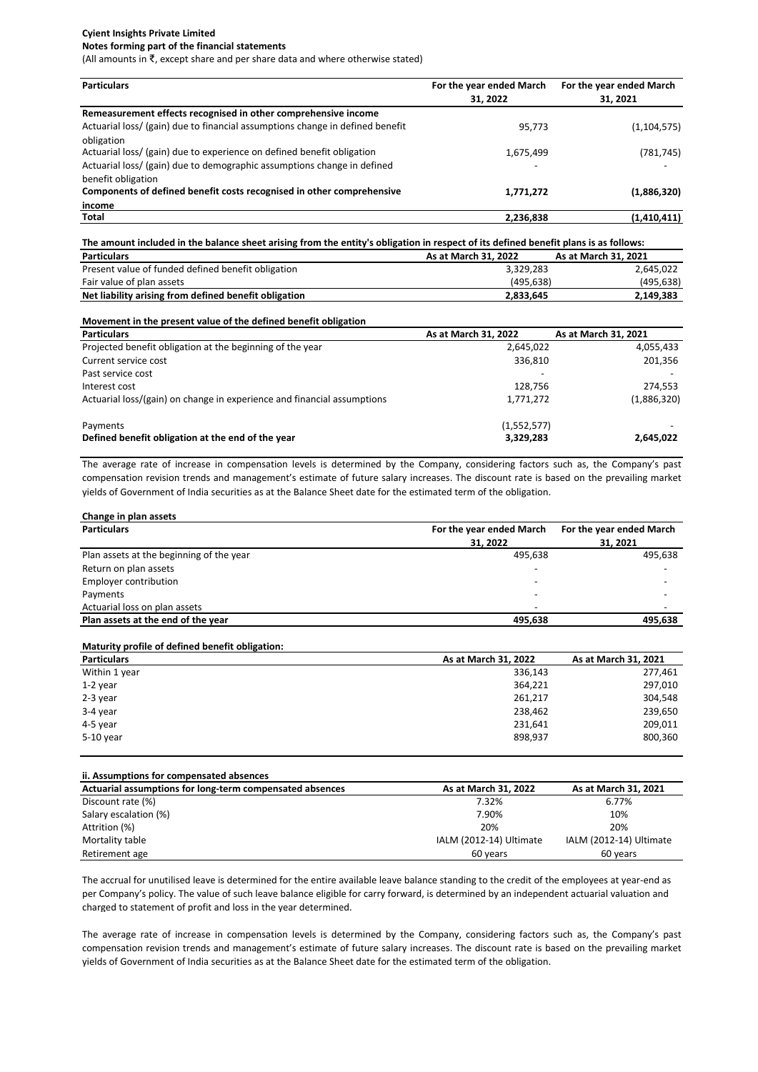#### **Notes forming part of the financial statements**

(All amounts in ₹, except share and per share data and where otherwise stated)

| <b>Particulars</b>                                                            | For the year ended March | For the year ended March |  |
|-------------------------------------------------------------------------------|--------------------------|--------------------------|--|
|                                                                               | 31.2022                  | 31, 2021                 |  |
| Remeasurement effects recognised in other comprehensive income                |                          |                          |  |
| Actuarial loss/ (gain) due to financial assumptions change in defined benefit | 95,773                   | (1, 104, 575)            |  |
| obligation                                                                    |                          |                          |  |
| Actuarial loss/ (gain) due to experience on defined benefit obligation        | 1,675,499                | (781, 745)               |  |
| Actuarial loss/ (gain) due to demographic assumptions change in defined       | $\overline{\phantom{a}}$ |                          |  |
| benefit obligation                                                            |                          |                          |  |
| Components of defined benefit costs recognised in other comprehensive         | 1,771,272                | (1,886,320)              |  |
| income                                                                        |                          |                          |  |
| Total                                                                         | 2.236.838                | (1,410,411)              |  |

| The amount included in the balance sheet arising from the entity's obligation in respect of its defined benefit plans is as follows: |                      |                      |
|--------------------------------------------------------------------------------------------------------------------------------------|----------------------|----------------------|
| <b>Particulars</b>                                                                                                                   | As at March 31, 2022 | As at March 31, 2021 |
| Present value of funded defined benefit obligation                                                                                   | 3,329,283            | 2,645,022            |
| Fair value of plan assets                                                                                                            | (495.638)            | (495, 638)           |
| Net liability arising from defined benefit obligation                                                                                | 2,833,645            | 2,149,383            |

| Movement in the present value of the defined benefit obligation         |                      |                      |
|-------------------------------------------------------------------------|----------------------|----------------------|
| <b>Particulars</b>                                                      | As at March 31, 2022 | As at March 31, 2021 |
| Projected benefit obligation at the beginning of the year               | 2,645,022            | 4,055,433            |
| Current service cost                                                    | 336.810              | 201,356              |
| Past service cost                                                       |                      |                      |
| Interest cost                                                           | 128.756              | 274.553              |
| Actuarial loss/(gain) on change in experience and financial assumptions | 1,771,272            | (1,886,320)          |
| Payments                                                                | (1,552,577)          |                      |
| Defined benefit obligation at the end of the year                       | 3,329,283            | 2,645,022            |

The average rate of increase in compensation levels is determined by the Company, considering factors such as, the Company's past compensation revision trends and management's estimate of future salary increases. The discount rate is based on the prevailing market yields of Government of India securities as at the Balance Sheet date for the estimated term of the obligation.

| Change in plan assets                    |                          |                          |
|------------------------------------------|--------------------------|--------------------------|
| <b>Particulars</b>                       | For the year ended March | For the year ended March |
|                                          | 31, 2022                 | 31, 2021                 |
| Plan assets at the beginning of the year | 495.638                  | 495,638                  |
| Return on plan assets                    | $\overline{\phantom{0}}$ | $\overline{\phantom{0}}$ |
| Employer contribution                    | $\overline{\phantom{0}}$ |                          |
| Payments                                 | $\overline{\phantom{0}}$ |                          |
| Actuarial loss on plan assets            | $\overline{\phantom{0}}$ |                          |
| Plan assets at the end of the year       | 495,638                  | 495,638                  |

| Maturity profile of defined benefit obligation: |                      |                      |
|-------------------------------------------------|----------------------|----------------------|
| <b>Particulars</b>                              | As at March 31, 2022 | As at March 31, 2021 |
| Within 1 year                                   | 336,143              | 277,461              |
| $1-2$ year                                      | 364,221              | 297,010              |
| 2-3 year                                        | 261,217              | 304,548              |
| 3-4 year                                        | 238,462              | 239,650              |
| 4-5 year                                        | 231,641              | 209,011              |
| 5-10 year                                       | 898,937              | 800,360              |

| ii. Assumptions for compensated absences                 |                         |                         |
|----------------------------------------------------------|-------------------------|-------------------------|
| Actuarial assumptions for long-term compensated absences | As at March 31, 2022    | As at March 31, 2021    |
| Discount rate (%)                                        | 7.32%                   | 6.77%                   |
| Salary escalation (%)                                    | 7.90%                   | 10%                     |
| Attrition (%)                                            | 20%                     | 20%                     |
| Mortality table                                          | IALM (2012-14) Ultimate | IALM (2012-14) Ultimate |
| Retirement age                                           | 60 years                | 60 years                |

The accrual for unutilised leave is determined for the entire available leave balance standing to the credit of the employees at year-end as per Company's policy. The value of such leave balance eligible for carry forward, is determined by an independent actuarial valuation and charged to statement of profit and loss in the year determined.

The average rate of increase in compensation levels is determined by the Company, considering factors such as, the Company's past compensation revision trends and management's estimate of future salary increases. The discount rate is based on the prevailing market yields of Government of India securities as at the Balance Sheet date for the estimated term of the obligation.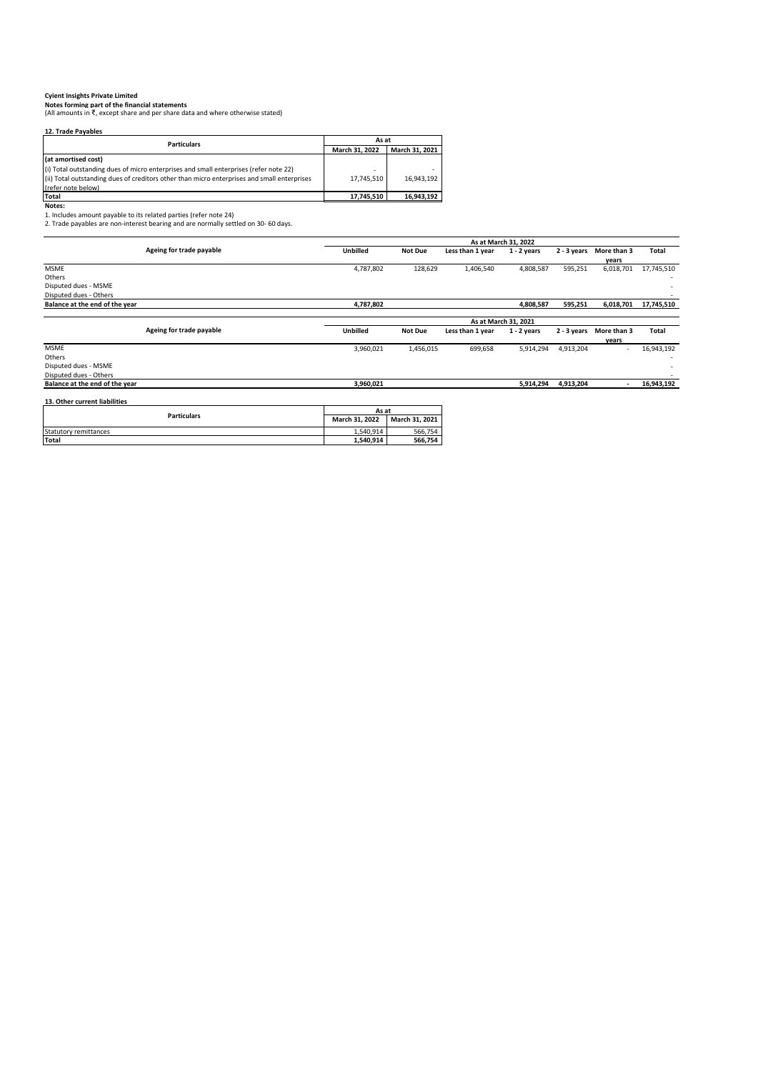C**yient Insights Private Limited**<br>Notes forming part of the financial statements<br>(All amounts in ₹, except share and per share data and where otherwise stated)

| 12. Trade Payables                                                                          |                |                |  |
|---------------------------------------------------------------------------------------------|----------------|----------------|--|
| <b>Particulars</b>                                                                          | As at          |                |  |
|                                                                                             | March 31, 2022 | March 31, 2021 |  |
| (at amortised cost)                                                                         |                |                |  |
| (i) Total outstanding dues of micro enterprises and small enterprises (refer note 22)       | ۰              |                |  |
| (ii) Total outstanding dues of creditors other than micro enterprises and small enterprises | 17,745,510     | 16,943,192     |  |
| (refer note below)                                                                          |                |                |  |
| Total                                                                                       | 17,745,510     | 16,943,192     |  |
| Notes:                                                                                      |                |                |  |
| 1. Includes amount payable to its related parties (refer note 24)                           |                |                |  |
| 2. Trade payables are non-interest bearing and are normally settled on 30-60 days.          |                |                |  |

|                                |                          | As at March 31, 2022 |                |                  |                      |             |                          |            |
|--------------------------------|--------------------------|----------------------|----------------|------------------|----------------------|-------------|--------------------------|------------|
|                                | Ageing for trade payable | <b>Unbilled</b>      | <b>Not Due</b> | Less than 1 year | $1 - 2$ years        | 2 - 3 years | More than 3              | Total      |
|                                |                          |                      |                |                  |                      |             | vears                    |            |
| <b>MSME</b>                    |                          | 4,787,802            | 128,629        | 1,406,540        | 4,808,587            | 595,251     | 6,018,701                | 17,745,510 |
| Others                         |                          |                      |                |                  |                      |             |                          |            |
| Disputed dues - MSME           |                          |                      |                |                  |                      |             |                          |            |
| Disputed dues - Others         |                          |                      |                |                  |                      |             |                          |            |
| Balance at the end of the year |                          | 4,787,802            |                |                  | 4,808,587            | 595,251     | 6,018,701                | 17,745,510 |
|                                |                          |                      |                |                  |                      |             |                          |            |
|                                |                          |                      |                |                  | As at March 31, 2021 |             |                          |            |
|                                | Ageing for trade payable | <b>Unbilled</b>      | <b>Not Due</b> | Less than 1 year | $1 - 2$ years        | 2 - 3 years | More than 3              | Total      |
|                                |                          |                      |                |                  |                      |             | years                    |            |
| <b>MSME</b>                    |                          | 3,960,021            | 1,456,015      | 699,658          | 5,914,294            | 4,913,204   | $\sim$                   | 16,943,192 |
| Others                         |                          |                      |                |                  |                      |             |                          |            |
| Disputed dues - MSME           |                          |                      |                |                  |                      |             |                          |            |
| Disputed dues - Others         |                          |                      |                |                  |                      |             |                          |            |
| Balance at the end of the year |                          | 3,960,021            |                |                  | 5,914,294            | 4,913,204   | $\overline{\phantom{a}}$ | 16,943,192 |
|                                |                          |                      |                |                  |                      |             |                          |            |
| 13. Other current liabilities  |                          |                      |                |                  |                      |             |                          |            |
|                                | <b>Particulars</b>       | As at                |                |                  |                      |             |                          |            |
|                                |                          | March 31, 2022       | March 31, 2021 |                  |                      |             |                          |            |
| Statutory remittances          |                          | 1,540,914            | 566,754        |                  |                      |             |                          |            |
| <b>Total</b>                   |                          | 1,540,914            | 566,754        |                  |                      |             |                          |            |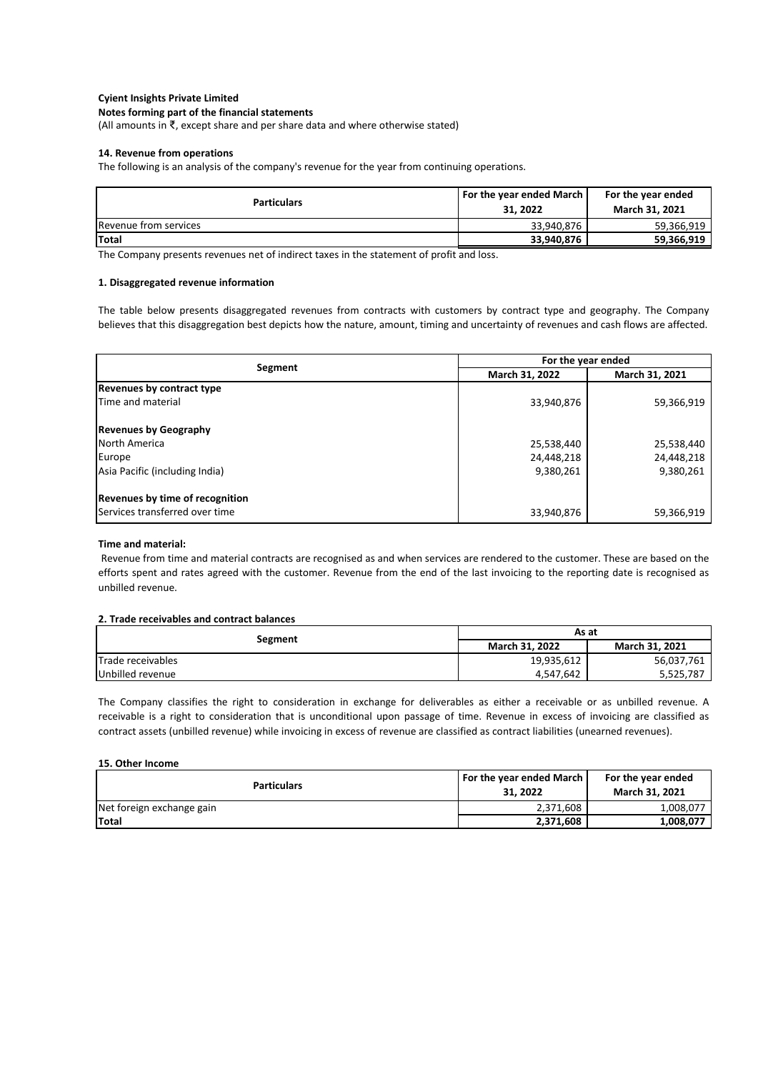## **Notes forming part of the financial statements**

(All amounts in ₹, except share and per share data and where otherwise stated)

### **14. Revenue from operations**

The following is an analysis of the company's revenue for the year from continuing operations.

| <b>Particulars</b>    | For the year ended March<br>31, 2022 | For the year ended<br>March 31, 2021 |
|-----------------------|--------------------------------------|--------------------------------------|
| Revenue from services | 33.940.876                           | 59.366.919                           |
| <b>Total</b>          | 33,940,876                           | 59.366.919                           |

The Company presents revenues net of indirect taxes in the statement of profit and loss.

#### **1. Disaggregated revenue information**

The table below presents disaggregated revenues from contracts with customers by contract type and geography. The Company believes that this disaggregation best depicts how the nature, amount, timing and uncertainty of revenues and cash flows are affected.

| Segment                                | For the year ended |                |
|----------------------------------------|--------------------|----------------|
|                                        | March 31, 2022     | March 31, 2021 |
| Revenues by contract type              |                    |                |
| Time and material                      | 33,940,876         | 59,366,919     |
| <b>Revenues by Geography</b>           |                    |                |
| <b>North America</b>                   | 25,538,440         | 25,538,440     |
| Europe                                 | 24,448,218         | 24,448,218     |
| Asia Pacific (including India)         | 9,380,261          | 9,380,261      |
| <b>Revenues by time of recognition</b> |                    |                |
| Services transferred over time         | 33,940,876         | 59,366,919     |

### **Time and material:**

Revenue from time and material contracts are recognised as and when services are rendered to the customer. These are based on the efforts spent and rates agreed with the customer. Revenue from the end of the last invoicing to the reporting date is recognised as unbilled revenue.

## **2. Trade receivables and contract balances**

| Segment           | As at                 |                |
|-------------------|-----------------------|----------------|
|                   | <b>March 31, 2022</b> | March 31, 2021 |
| Trade receivables | 19,935,612            | 56,037,761     |
| Unbilled revenue  | 4,547,642             | 5,525,787      |

The Company classifies the right to consideration in exchange for deliverables as either a receivable or as unbilled revenue. A receivable is a right to consideration that is unconditional upon passage of time. Revenue in excess of invoicing are classified as contract assets (unbilled revenue) while invoicing in excess of revenue are classified as contract liabilities (unearned revenues).

### **15. Other Income**

| <b>Particulars</b>        | <b>For the year ended March</b><br>31, 2022 | For the year ended<br><b>March 31, 2021</b> |
|---------------------------|---------------------------------------------|---------------------------------------------|
| Net foreign exchange gain | 2,371,608                                   | 1,008,077                                   |
| <b>Total</b>              | 2,371,608                                   | 1,008,077                                   |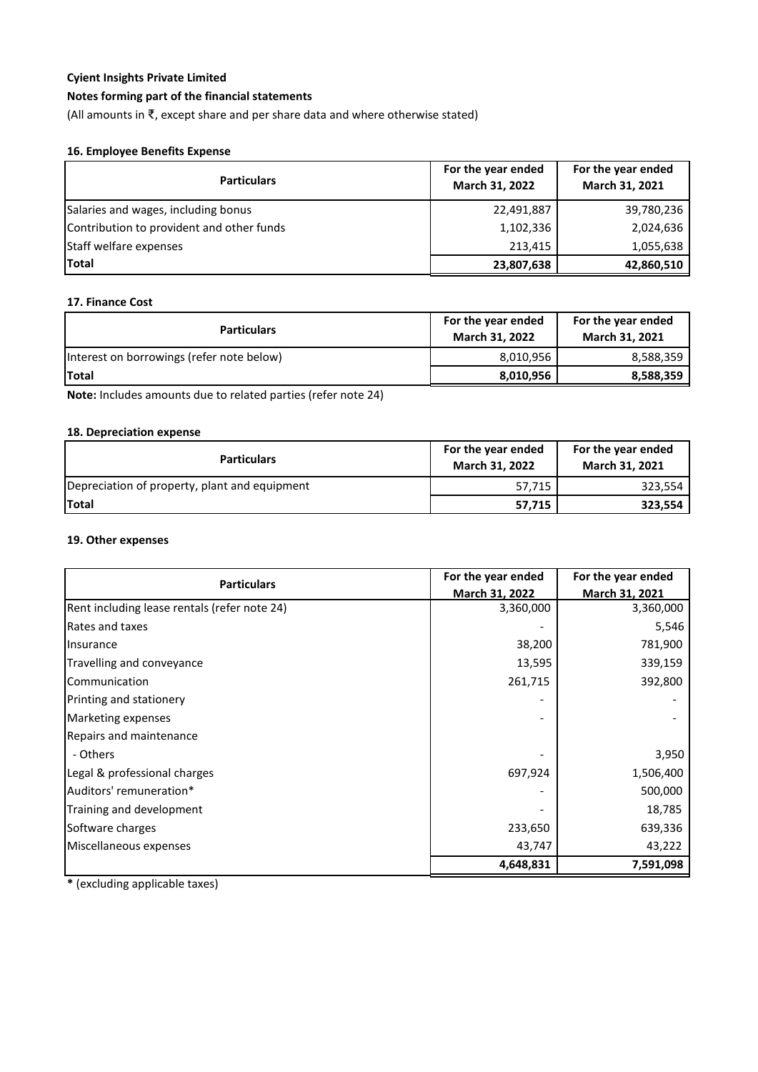# **Notes forming part of the financial statements**

(All amounts in ₹, except share and per share data and where otherwise stated)

# **16. Employee Benefits Expense**

| <b>Particulars</b>                        | For the year ended<br>March 31, 2022 | For the year ended<br>March 31, 2021 |
|-------------------------------------------|--------------------------------------|--------------------------------------|
| Salaries and wages, including bonus       | 22,491,887                           | 39,780,236                           |
| Contribution to provident and other funds | 1,102,336                            | 2,024,636                            |
| Staff welfare expenses                    | 213,415                              | 1,055,638                            |
| <b>Total</b>                              | 23,807,638                           | 42,860,510                           |

# **17. Finance Cost**

| <b>Particulars</b>                        | For the year ended<br><b>March 31, 2022</b> | For the year ended<br><b>March 31, 2021</b> |
|-------------------------------------------|---------------------------------------------|---------------------------------------------|
| Interest on borrowings (refer note below) | 8,010,956                                   | 8,588,359                                   |
| Total                                     | 8,010,956                                   | 8,588,359                                   |

**Note:** Includes amounts due to related parties (refer note 24)

# **18. Depreciation expense**

| <b>Particulars</b>                            | For the year ended<br><b>March 31, 2022</b> | For the year ended<br>March 31, 2021 |
|-----------------------------------------------|---------------------------------------------|--------------------------------------|
| Depreciation of property, plant and equipment | 57,715                                      | 323,554                              |
| <b>Total</b>                                  | 57,715                                      | 323,554                              |

## **19. Other expenses**

| <b>Particulars</b>                           | For the year ended | For the year ended |
|----------------------------------------------|--------------------|--------------------|
|                                              | March 31, 2022     | March 31, 2021     |
| Rent including lease rentals (refer note 24) | 3,360,000          | 3,360,000          |
| Rates and taxes                              |                    | 5,546              |
| Insurance                                    | 38,200             | 781,900            |
| Travelling and conveyance                    | 13,595             | 339,159            |
| Communication                                | 261,715            | 392,800            |
| <b>Printing and stationery</b>               |                    |                    |
| Marketing expenses                           |                    |                    |
| Repairs and maintenance                      |                    |                    |
| - Others                                     |                    | 3,950              |
| Legal & professional charges                 | 697,924            | 1,506,400          |
| Auditors' remuneration*                      |                    | 500,000            |
| Training and development                     |                    | 18,785             |
| Software charges                             | 233,650            | 639,336            |
| Miscellaneous expenses                       | 43,747             | 43,222             |
|                                              | 4,648,831          | 7,591,098          |

**\*** (excluding applicable taxes)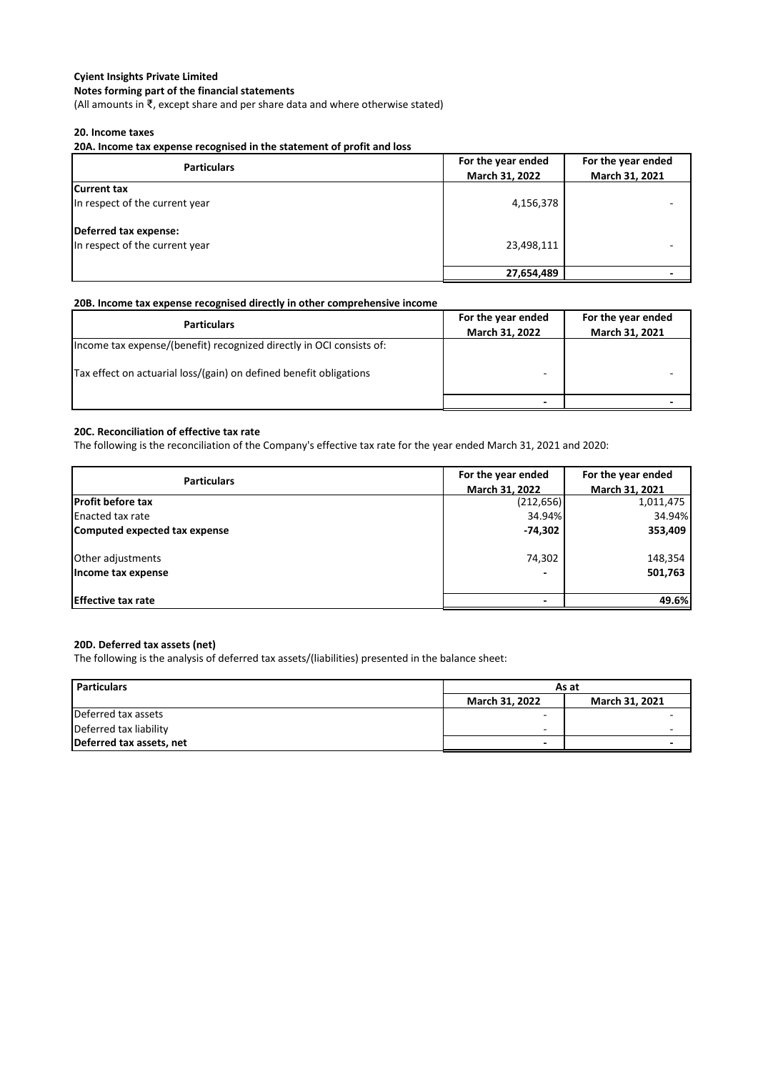## **Notes forming part of the financial statements**

(All amounts in ₹, except share and per share data and where otherwise stated)

## **20. Income taxes**

**20A. Income tax expense recognised in the statement of profit and loss**

| <b>Particulars</b>                                      | For the year ended<br>March 31, 2022 | For the year ended<br>March 31, 2021 |
|---------------------------------------------------------|--------------------------------------|--------------------------------------|
| <b>Current tax</b><br>In respect of the current year    | 4,156,378                            |                                      |
| Deferred tax expense:<br>In respect of the current year | 23,498,111                           |                                      |
|                                                         | 27,654,489                           |                                      |

## **20B. Income tax expense recognised directly in other comprehensive income**

| <b>Particulars</b>                                                   | For the year ended<br>March 31, 2022 | For the year ended<br>March 31, 2021 |
|----------------------------------------------------------------------|--------------------------------------|--------------------------------------|
| Income tax expense/(benefit) recognized directly in OCI consists of: |                                      |                                      |
| Tax effect on actuarial loss/(gain) on defined benefit obligations   |                                      |                                      |
|                                                                      |                                      |                                      |

## **20C. Reconciliation of effective tax rate**

The following is the reconciliation of the Company's effective tax rate for the year ended March 31, 2021 and 2020:

| <b>Particulars</b>            | For the year ended | For the year ended |
|-------------------------------|--------------------|--------------------|
|                               | March 31, 2022     | March 31, 2021     |
| <b>Profit before tax</b>      | (212, 656)         | 1,011,475          |
| <b>Enacted tax rate</b>       | 34.94%             | 34.94%             |
| Computed expected tax expense | -74,302            | 353,409            |
| Other adjustments             | 74,302             | 148,354            |
| Income tax expense            |                    | 501,763            |
| <b>Effective tax rate</b>     |                    | 49.6%              |

## **20D. Deferred tax assets (net)**

The following is the analysis of deferred tax assets/(liabilities) presented in the balance sheet:

| <b>Particulars</b>       | As at                 |                |
|--------------------------|-----------------------|----------------|
|                          | <b>March 31, 2022</b> | March 31, 2021 |
| Deferred tax assets      |                       |                |
| Deferred tax liability   | -                     |                |
| Deferred tax assets, net | -                     |                |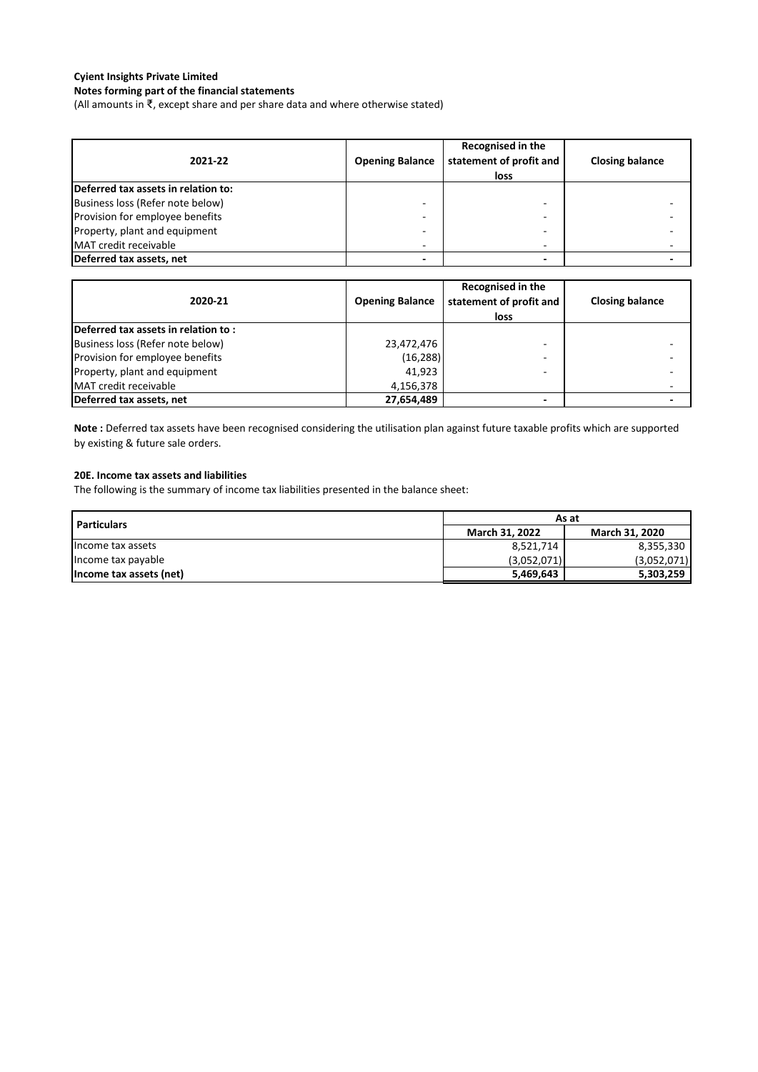# **Notes forming part of the financial statements**

(All amounts in ₹, except share and per share data and where otherwise stated)

| 2021-22                             | <b>Opening Balance</b> | Recognised in the<br>statement of profit and<br>loss | <b>Closing balance</b> |
|-------------------------------------|------------------------|------------------------------------------------------|------------------------|
| Deferred tax assets in relation to: |                        |                                                      |                        |
| Business loss (Refer note below)    | -                      |                                                      |                        |
| Provision for employee benefits     | -                      |                                                      |                        |
| Property, plant and equipment       | $\overline{ }$         |                                                      |                        |
| MAT credit receivable               | -                      | -                                                    |                        |
| Deferred tax assets, net            |                        |                                                      |                        |

| 2020-21                             | <b>Opening Balance</b> | Recognised in the<br>statement of profit and<br>loss | <b>Closing balance</b> |
|-------------------------------------|------------------------|------------------------------------------------------|------------------------|
| Deferred tax assets in relation to: |                        |                                                      |                        |
| Business loss (Refer note below)    | 23,472,476             |                                                      |                        |
| Provision for employee benefits     | (16, 288)              |                                                      |                        |
| Property, plant and equipment       | 41.923                 |                                                      |                        |
| MAT credit receivable               | 4,156,378              |                                                      |                        |
| Deferred tax assets, net            | 27,654,489             |                                                      |                        |

**Note :** Deferred tax assets have been recognised considering the utilisation plan against future taxable profits which are supported by existing & future sale orders.

### **20E. Income tax assets and liabilities**

The following is the summary of income tax liabilities presented in the balance sheet:

| <b>Particulars</b>      | As at                 |                       |  |  |
|-------------------------|-----------------------|-----------------------|--|--|
|                         | <b>March 31, 2022</b> | <b>March 31, 2020</b> |  |  |
| Income tax assets       | 8,521,714             | 8,355,330             |  |  |
| Income tax payable      | (3,052,071)           | (3,052,071)           |  |  |
| Income tax assets (net) | 5,469,643             | 5,303,259             |  |  |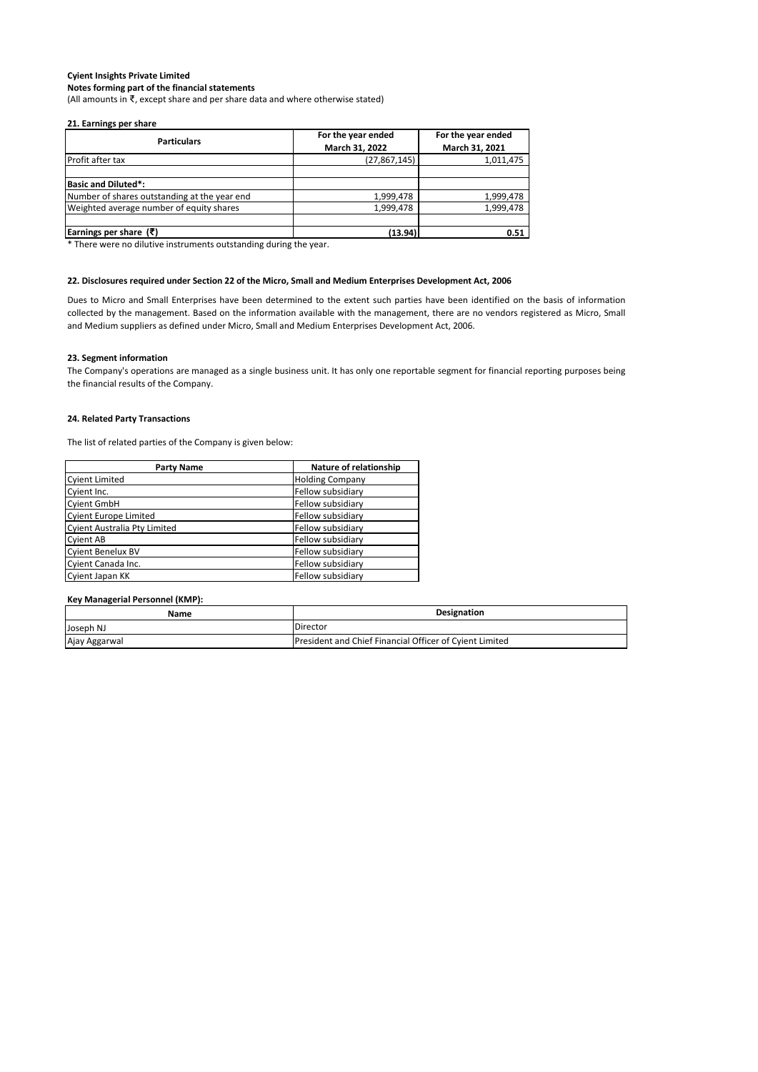(All amounts in ₹, except share and per share data and where otherwise stated)

#### **21. Earnings per share**

| <b>Particulars</b>                           | For the year ended | For the year ended |  |
|----------------------------------------------|--------------------|--------------------|--|
|                                              | March 31, 2022     | March 31, 2021     |  |
| Profit after tax                             | (27,867,145)       | 1,011,475          |  |
|                                              |                    |                    |  |
| <b>Basic and Diluted*:</b>                   |                    |                    |  |
| Number of shares outstanding at the year end | 1,999,478          | 1,999,478          |  |
| Weighted average number of equity shares     | 1,999,478          | 1,999,478          |  |
|                                              |                    |                    |  |
| Earnings per share $(\bar{\tau})$            | (13.94)            | 0.51               |  |

\* There were no dilutive instruments outstanding during the year.

#### **22. Disclosures required under Section 22 of the Micro, Small and Medium Enterprises Development Act, 2006**

Dues to Micro and Small Enterprises have been determined to the extent such parties have been identified on the basis of information collected by the management. Based on the information available with the management, there are no vendors registered as Micro, Small and Medium suppliers as defined under Micro, Small and Medium Enterprises Development Act, 2006.

#### **23. Segment information**

The Company's operations are managed as a single business unit. It has only one reportable segment for financial reporting purposes being the financial results of the Company.

#### **24. Related Party Transactions**

The list of related parties of the Company is given below:

| <b>Party Name</b>            | Nature of relationship |
|------------------------------|------------------------|
| <b>Cyient Limited</b>        | <b>Holding Company</b> |
| Cyient Inc.                  | Fellow subsidiary      |
| <b>Cyient GmbH</b>           | Fellow subsidiary      |
| <b>Cyient Europe Limited</b> | Fellow subsidiary      |
| Cyient Australia Pty Limited | Fellow subsidiary      |
| <b>Cyient AB</b>             | Fellow subsidiary      |
| <b>Cyient Benelux BV</b>     | Fellow subsidiary      |
| Cyient Canada Inc.           | Fellow subsidiary      |
| Cyient Japan KK              | Fellow subsidiary      |

#### **Key Managerial Personnel (KMP):**

| Name          | Designation                                             |  |
|---------------|---------------------------------------------------------|--|
| Joseph NJ     | Director                                                |  |
| Ajay Aggarwal | President and Chief Financial Officer of Cyient Limited |  |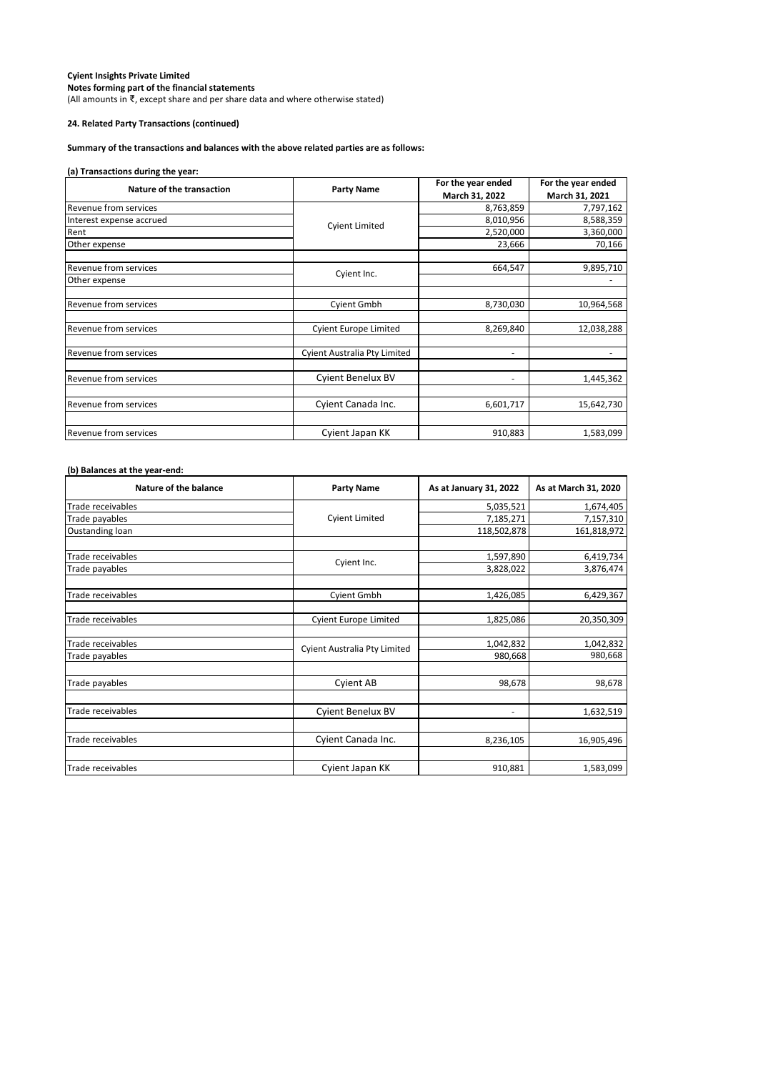(All amounts in ₹, except share and per share data and where otherwise stated)

## **24. Related Party Transactions (continued)**

## **Summary of the transactions and balances with the above related parties are as follows:**

## **(a) Transactions during the year:**

| Nature of the transaction    |                              | For the year ended | For the year ended |  |
|------------------------------|------------------------------|--------------------|--------------------|--|
|                              | <b>Party Name</b>            | March 31, 2022     | March 31, 2021     |  |
| Revenue from services        |                              | 8,763,859          | 7,797,162          |  |
| Interest expense accrued     | <b>Cyient Limited</b>        | 8,010,956          | 8,588,359          |  |
| Rent                         |                              | 2,520,000          | 3,360,000          |  |
| Other expense                |                              | 23,666             | 70,166             |  |
| Revenue from services        | Cyient Inc.                  | 664,547            | 9,895,710          |  |
| Other expense                |                              |                    |                    |  |
| <b>Revenue from services</b> | <b>Cyient Gmbh</b>           | 8,730,030          | 10,964,568         |  |
| <b>Revenue from services</b> | <b>Cyient Europe Limited</b> | 8,269,840          | 12,038,288         |  |
| <b>Revenue from services</b> | Cyient Australia Pty Limited | ٠                  |                    |  |
| <b>Revenue from services</b> | Cyient Benelux BV            | ٠                  | 1,445,362          |  |
| Revenue from services        | Cyient Canada Inc.           | 6,601,717          | 15,642,730         |  |
| Revenue from services        | Cyient Japan KK              | 910,883            | 1,583,099          |  |

## **(b) Balances at the year-end:**

| Nature of the balance | <b>Party Name</b>            | As at January 31, 2022 | As at March 31, 2020 |
|-----------------------|------------------------------|------------------------|----------------------|
| Trade receivables     |                              | 5,035,521              | 1,674,405            |
| Trade payables        | <b>Cyient Limited</b>        | 7,185,271              | 7,157,310            |
| Oustanding loan       |                              | 118,502,878            | 161,818,972          |
|                       |                              |                        |                      |
| Trade receivables     | Cyient Inc.                  | 1,597,890              | 6,419,734            |
| Trade payables        |                              | 3,828,022              | 3,876,474            |
|                       |                              |                        |                      |
| Trade receivables     | <b>Cyient Gmbh</b>           | 1,426,085              | 6,429,367            |
|                       |                              |                        |                      |
| Trade receivables     | <b>Cyient Europe Limited</b> | 1,825,086              | 20,350,309           |
|                       |                              |                        |                      |
| Trade receivables     | Cyient Australia Pty Limited | 1,042,832              | 1,042,832            |
| Trade payables        |                              | 980,668                | 980,668              |
|                       |                              | 98,678                 | 98,678               |
| Trade payables        | <b>Cyient AB</b>             |                        |                      |
| Trade receivables     | Cyient Benelux BV            | ۰                      | 1,632,519            |
|                       |                              |                        |                      |
| Trade receivables     | Cyient Canada Inc.           | 8,236,105              | 16,905,496           |
| Trade receivables     |                              |                        |                      |
|                       | Cyient Japan KK              | 910,881                | 1,583,099            |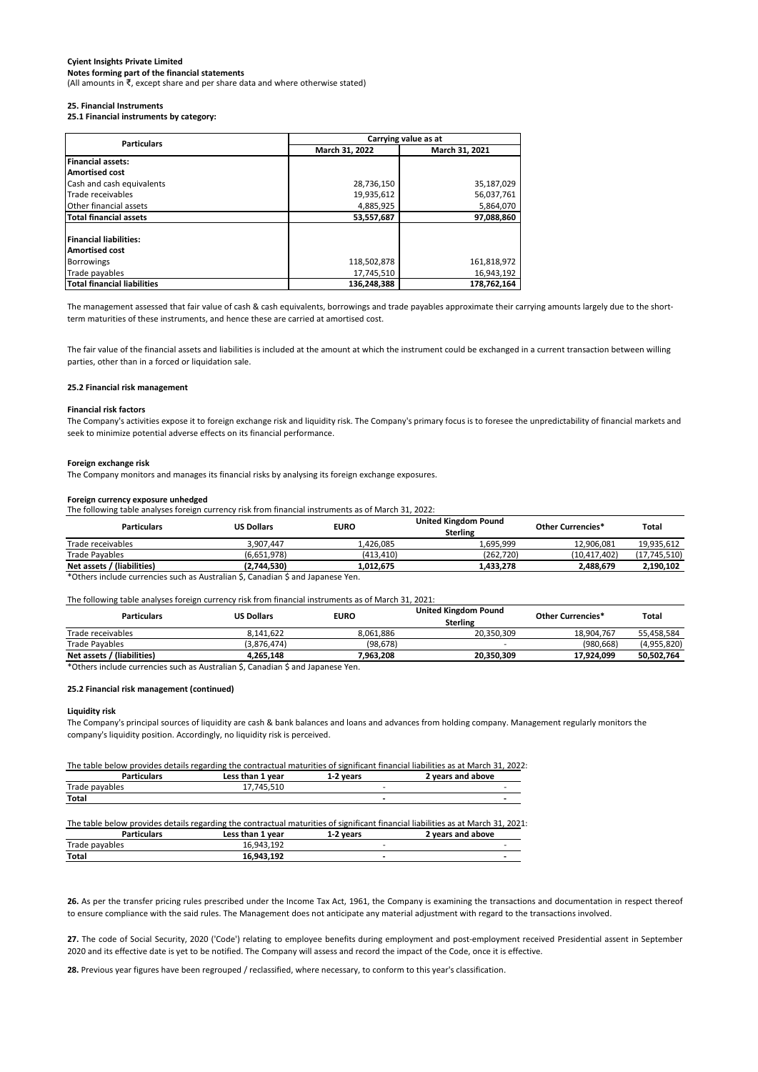(All amounts in ₹, except share and per share data and where otherwise stated)

#### **25. Financial Instruments**

**25.1 Financial instruments by category:**

| <b>Particulars</b>                 |                | Carrying value as at |  |  |  |
|------------------------------------|----------------|----------------------|--|--|--|
|                                    | March 31, 2022 | March 31, 2021       |  |  |  |
| <b>Financial assets:</b>           |                |                      |  |  |  |
| <b>Amortised cost</b>              |                |                      |  |  |  |
| Cash and cash equivalents          | 28,736,150     | 35,187,029           |  |  |  |
| Trade receivables                  | 19,935,612     | 56,037,761           |  |  |  |
| Other financial assets             | 4,885,925      | 5,864,070            |  |  |  |
| <b>Total financial assets</b>      | 53,557,687     | 97,088,860           |  |  |  |
|                                    |                |                      |  |  |  |
| <b>Financial liabilities:</b>      |                |                      |  |  |  |
| <b>Amortised cost</b>              |                |                      |  |  |  |
| <b>Borrowings</b>                  | 118,502,878    | 161,818,972          |  |  |  |
| Trade payables                     | 17.745.510     | 16,943,192           |  |  |  |
| <b>Total financial liabilities</b> | 136.248.388    | 178.762.164          |  |  |  |

The management assessed that fair value of cash & cash equivalents, borrowings and trade payables approximate their carrying amounts largely due to the shortterm maturities of these instruments, and hence these are carried at amortised cost.

The fair value of the financial assets and liabilities is included at the amount at which the instrument could be exchanged in a current transaction between willing parties, other than in a forced or liquidation sale.

#### **25.2 Financial risk management**

#### **Financial risk factors**

The Company's activities expose it to foreign exchange risk and liquidity risk. The Company's primary focus is to foresee the unpredictability of financial markets and seek to minimize potential adverse effects on its financial performance.

#### **Foreign exchange risk**

The Company monitors and manages its financial risks by analysing its foreign exchange exposures.

#### **Foreign currency exposure unhedged**

The following table analyses foreign currency risk from financial instruments as of March 31, 2022:

| <b>Particulars</b>                                                                                                 | <b>US Dollars</b> | <b>EURO</b> | <b>United Kingdom Pound</b><br><b>Sterling</b> | Other Currencies* | Total        |
|--------------------------------------------------------------------------------------------------------------------|-------------------|-------------|------------------------------------------------|-------------------|--------------|
| Trade receivables                                                                                                  | 3.907.447         | 1.426.085   | . 695.999                                      | 12.906.081        | 19.935.612   |
| Trade Payables                                                                                                     | (6.651.978)       | (413.410)   | (262.720)                                      | (10.417.402)      | (17.745.510) |
| Net assets / (liabilities)                                                                                         | (2.744.530)       | 1.012.675   | 1.433.278                                      | 2.488.679         | 2.190.102    |
| المتحافظ والمتحامل والمتحل والمتحل والمتحل والمتحل والمتحل والمتحل والمتحل والمتحل والمتحل والمتحل والمتحل والمتحل |                   |             |                                                |                   |              |

\*Others include currencies such as Australian \$, Canadian \$ and Japanese Yen.

The following table analyses foreign currency risk from financial instruments as of March 31, 2021:

| <b>Particulars</b>         | <b>US Dollars</b> | <b>EURO</b> | <b>United Kingdom Pound</b><br>Sterling | <b>Other Currencies*</b> | Total       |
|----------------------------|-------------------|-------------|-----------------------------------------|--------------------------|-------------|
| Trade receivables          | 8.141.622         | 8.061.886   | 20.350.309                              | 18.904.767               | 55.458.584  |
| Trade Payables             | (3.876.474)       | (98, 678)   |                                         | (980.668)                | (4,955,820) |
| Net assets / (liabilities) | 4.265.148         | 7.963.208   | 20.350.309                              | 17.924.099               | 50.502.764  |

\*Others include currencies such as Australian \$, Canadian \$ and Japanese Yen.

#### **25.2 Financial risk management (continued)**

#### **Liquidity risk**

The Company's principal sources of liquidity are cash & bank balances and loans and advances from holding company. Management regularly monitors the company's liquidity position. Accordingly, no liquidity risk is perceived.

#### The table below provides details regarding the contractual maturities of significant financial liabilities as at March 31, 2022:

| <b>Particulars</b> | Less than 1 year | 1-2 years | 2 years and above                                                                                                                |
|--------------------|------------------|-----------|----------------------------------------------------------------------------------------------------------------------------------|
| Trade payables     | 17.745.510       | ٠         |                                                                                                                                  |
| Total              |                  | ۰         | -                                                                                                                                |
|                    |                  |           | The table below provides details regarding the contractual maturities of significant financial liabilities as at March 31, 2021; |
| <b>Particulars</b> | Less than 1 year | 1-2 years | 2 years and above                                                                                                                |
| Trade payables     | 16,943,192       | ٠         |                                                                                                                                  |
| Total              | 16.943.192       | ٠         |                                                                                                                                  |

**26.** As per the transfer pricing rules prescribed under the Income Tax Act, 1961, the Company is examining the transactions and documentation in respect thereof to ensure compliance with the said rules. The Management does not anticipate any material adjustment with regard to the transactions involved.

27. The code of Social Security, 2020 ('Code') relating to employee benefits during employment and post-employment received Presidential assent in September 2020 and its effective date is yet to be notified. The Company will assess and record the impact of the Code, once it is effective.

**28.** Previous year figures have been regrouped / reclassified, where necessary, to conform to this year's classification.